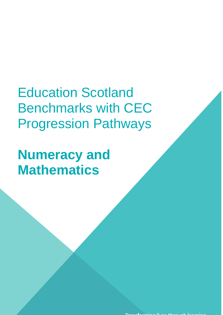Education Scotland Benchmarks with CEC Progression Pathways

**Numeracy and Mathematics**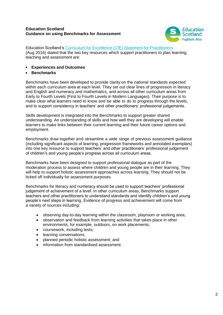# **Education Scotland Guidance on using Benchmarks for Assessment**



Education Scotland's [Curriculum for Excellence \(CfE\) Statement for Practitioners](https://education.gov.scot/improvement/Documents/cfestatement.pdf) (Aug 2016) stated that the two key resources which support practitioners to plan learning, teaching and assessment are:

- **Experiences and Outcomes**
- **Benchmarks**

Benchmarks have been developed to provide clarity on the national standards expected within each curriculum area at each level. They set out clear lines of progression in literacy and English and numeracy and mathematics, and across all other curriculum areas from Early to Fourth Levels (First to Fourth Levels in Modern Languages). Their purpose is to make clear what learners need to know and be able to do to progress through the levels, and to support consistency in teachers' and other practitioners' professional judgements.

Skills development is integrated into the Benchmarks to support greater shared understanding. An understanding of skills and how well they are developing will enable learners to make links between their current learning and their future career options and employment.

Benchmarks draw together and streamline a wide range of previous assessment guidance (including significant aspects of learning, progression frameworks and annotated exemplars) into one key resource to support teachers' and other practitioners' professional judgement of children's and young people's progress across all curriculum areas.

Benchmarks have been designed to support professional dialogue as part of the moderation process to assess where children and young people are in their learning. They will help to support holistic assessment approaches across learning. They should not be ticked off individually for assessment purposes.

Benchmarks for literacy and numeracy should be used to support teachers' professional judgement of achievement of a level. In other curriculum areas, Benchmarks support teachers and other practitioners to understand standards and identify children's and young people's next steps in learning. Evidence of progress and achievement will come from a variety of sources including:

- observing day-to-day learning within the classroom, playroom or working area;
- observation and feedback from learning activities that takes place in other environments, for example, outdoors, on work placements;
- coursework, including tests;
- learning conversations;
- planned periodic holistic assessment; and
- information from standardised assessment.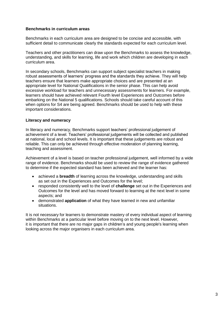## **Benchmarks in curriculum areas**

Benchmarks in each curriculum area are designed to be concise and accessible, with sufficient detail to communicate clearly the standards expected for each curriculum level.

Teachers and other practitioners can draw upon the Benchmarks to assess the knowledge, understanding, and skills for learning, life and work which children are developing in each curriculum area.

In secondary schools, Benchmarks can support subject specialist teachers in making robust assessments of learners' progress and the standards they achieve. They will help teachers ensure that learners make appropriate choices and are presented at an appropriate level for National Qualifications in the senior phase. This can help avoid excessive workload for teachers and unnecessary assessments for learners. For example, learners should have achieved relevant Fourth level Experiences and Outcomes before embarking on the National 5 qualifications. Schools should take careful account of this when options for S4 are being agreed. Benchmarks should be used to help with these important considerations.

# **Literacy and numeracy**

In literacy and numeracy, Benchmarks support teachers' professional judgement of achievement of a level. Teachers' professional judgements will be collected and published at national, local and school levels. It is important that these judgements are robust and reliable. This can only be achieved through effective moderation of planning learning, teaching and assessment.

Achievement of a level is based on teacher professional judgement, well informed by a wide range of evidence. Benchmarks should be used to review the range of evidence gathered to determine if the expected standard has been achieved and the learner has:

- achieved a **breadth** of learning across the knowledge, understanding and skills as set out in the Experiences and Outcomes for the level;
- responded consistently well to the level of **challenge** set out in the Experiences and Outcomes for the level and has moved forward to learning at the next level in some aspects; and
- demonstrated **application** of what they have learned in new and unfamiliar situations.

It is not necessary for learners to demonstrate mastery of every individual aspect of learning within Benchmarks at a particular level before moving on to the next level. However, it is important that there are no major gaps in children's and young people's learning when looking across the major organisers in each curriculum area.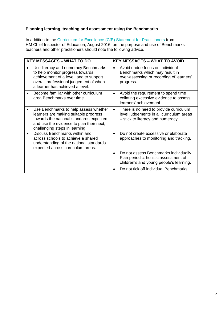# **Planning learning, teaching and assessment using the Benchmarks**

In addition to the [Curriculum for Excellence \(CfE\) Statement for Practitioners](https://education.gov.scot/improvement/Documents/cfestatement.pdf) from HM Chief Inspector of Education, August 2016, on the purpose and use of Benchmarks, teachers and other practitioners should note the following advice.

| <b>KEY MESSAGES - WHAT TO DO</b>                                                                                                                                                                        | <b>KEY MESSAGES - WHAT TO AVOID</b> |                                                                                                                            |  |
|---------------------------------------------------------------------------------------------------------------------------------------------------------------------------------------------------------|-------------------------------------|----------------------------------------------------------------------------------------------------------------------------|--|
| Use literacy and numeracy Benchmarks<br>to help monitor progress towards<br>achievement of a level, and to support<br>overall professional judgement of when<br>a learner has achieved a level.         | $\bullet$                           | Avoid undue focus on individual<br>Benchmarks which may result in<br>over-assessing or recording of learners'<br>progress. |  |
| Become familiar with other curriculum<br>area Benchmarks over time.                                                                                                                                     | $\bullet$                           | Avoid the requirement to spend time<br>collating excessive evidence to assess<br>learners' achievement.                    |  |
| Use Benchmarks to help assess whether<br>learners are making suitable progress<br>towards the national standards expected<br>and use the evidence to plan their next,<br>challenging steps in learning. | $\bullet$                           | There is no need to provide curriculum<br>level judgements in all curriculum areas<br>- stick to literacy and numeracy.    |  |
| Discuss Benchmarks within and<br>across schools to achieve a shared<br>understanding of the national standards<br>expected across curriculum areas.                                                     |                                     | Do not create excessive or elaborate<br>approaches to monitoring and tracking.                                             |  |
|                                                                                                                                                                                                         | $\bullet$                           | Do not assess Benchmarks individually.<br>Plan periodic, holistic assessment of<br>children's and young people's learning. |  |
|                                                                                                                                                                                                         |                                     | Do not tick off individual Benchmarks.                                                                                     |  |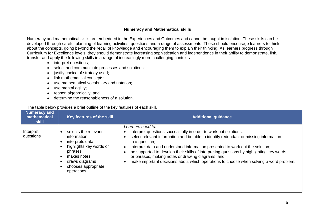## **Numeracy and Mathematical skills**

Numeracy and mathematical skills are embedded in the Experiences and Outcomes and cannot be taught in isolation. These skills can be developed through careful planning of learning activities, questions and a range of assessments. These should encourage learners to think about the concepts, going beyond the recall of knowledge and encouraging them to explain their thinking. As learners progress through Curriculum for Excellence levels, they should demonstrate increasing sophistication and independence in their ability to demonstrate, link, transfer and apply the following skills in a range of increasingly more challenging contexts:

- interpret questions;
- select and communicate processes and solutions;
- justify choice of strategy used;
- link mathematical concepts;
- use mathematical vocabulary and notation;
- use mental agility;
- reason algebraically; and
- determine the reasonableness of a solution.

## The table below provides a brief outline of the key features of each skill.

| <b>Numeracy and</b><br>mathematical<br>skill | Key features of the skill                                                                                                                                           | <b>Additional guidance</b>                                                                                                                                                                                                                                                                                                                                                                                                                                                                                                  |
|----------------------------------------------|---------------------------------------------------------------------------------------------------------------------------------------------------------------------|-----------------------------------------------------------------------------------------------------------------------------------------------------------------------------------------------------------------------------------------------------------------------------------------------------------------------------------------------------------------------------------------------------------------------------------------------------------------------------------------------------------------------------|
| Interpret<br>questions                       | selects the relevant<br>information<br>interprets data<br>highlights key words or<br>phrases<br>makes notes<br>draws diagrams<br>chooses appropriate<br>operations. | Learners need to:<br>interpret questions successfully in order to work out solutions;<br>select relevant information and be able to identify redundant or missing information<br>in a question;<br>interpret data and understand information presented to work out the solution;<br>be supported to develop their skills of interpreting questions by highlighting key words<br>or phrases, making notes or drawing diagrams; and<br>make important decisions about which operations to choose when solving a word problem. |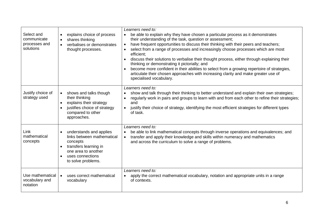| Select and<br>communicate<br>processes and<br>solutions | explains choice of process<br>$\bullet$<br>shares thinking<br>$\bullet$<br>verbalises or demonstrates<br>$\bullet$<br>thought processes.                                              | Learners need to:<br>be able to explain why they have chosen a particular process as it demonstrates<br>$\bullet$<br>their understanding of the task, question or assessment;<br>have frequent opportunities to discuss their thinking with their peers and teachers;<br>$\bullet$<br>select from a range of processes and increasingly choose processes which are most<br>$\bullet$<br>efficient;<br>discuss their solutions to verbalise their thought process, either through explaining their<br>thinking or demonstrating it pictorially; and<br>become more confident in their abilities to select from a growing repertoire of strategies,<br>articulate their chosen approaches with increasing clarity and make greater use of<br>specialised vocabulary. |
|---------------------------------------------------------|---------------------------------------------------------------------------------------------------------------------------------------------------------------------------------------|--------------------------------------------------------------------------------------------------------------------------------------------------------------------------------------------------------------------------------------------------------------------------------------------------------------------------------------------------------------------------------------------------------------------------------------------------------------------------------------------------------------------------------------------------------------------------------------------------------------------------------------------------------------------------------------------------------------------------------------------------------------------|
| Justify choice of<br>strategy used                      | shows and talks though<br>$\bullet$<br>their thinking<br>explains their strategy<br>$\bullet$<br>justifies choice of strategy<br>compared to other<br>approaches.                     | Learners need to:<br>show and talk through their thinking to better understand and explain their own strategies;<br>$\bullet$<br>regularly work in pairs and groups to learn with and from each other to refine their strategies;<br>$\bullet$<br>and<br>justify their choice of strategy, identifying the most efficient strategies for different types<br>$\bullet$<br>of task.                                                                                                                                                                                                                                                                                                                                                                                  |
| Link<br>mathematical<br>concepts                        | understands and applies<br>$\bullet$<br>links between mathematical<br>concepts<br>transfers learning in<br>one area to another<br>uses connections<br>$\bullet$<br>to solve problems. | Learners need to:<br>be able to link mathematical concepts through inverse operations and equivalences; and<br>$\bullet$<br>transfer and apply their knowledge and skills within numeracy and mathematics<br>$\bullet$<br>and across the curriculum to solve a range of problems.                                                                                                                                                                                                                                                                                                                                                                                                                                                                                  |
| Use mathematical<br>vocabulary and<br>notation          | uses correct mathematical<br>$\bullet$<br>vocabulary                                                                                                                                  | Learners need to:<br>apply the correct mathematical vocabulary, notation and appropriate units in a range<br>of contexts.                                                                                                                                                                                                                                                                                                                                                                                                                                                                                                                                                                                                                                          |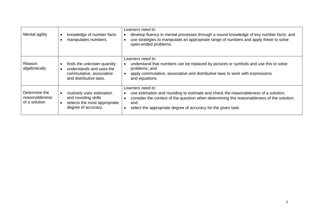| Mental agility                                   | knowledge of number facts<br>$\bullet$<br>manipulates numbers.                                                                    | Learners need to:<br>develop fluency in mental processes through a sound knowledge of key number facts; and<br>use strategies to manipulate an appropriate range of numbers and apply these to solve<br>$\bullet$<br>open-ended problems.                                                                            |
|--------------------------------------------------|-----------------------------------------------------------------------------------------------------------------------------------|----------------------------------------------------------------------------------------------------------------------------------------------------------------------------------------------------------------------------------------------------------------------------------------------------------------------|
| Reason<br>algebraically                          | finds the unknown quantity<br>understands and uses the<br>commutative, associative<br>and distributive laws.                      | Learners need to:<br>understand that numbers can be replaced by pictures or symbols and use this to solve<br>problems; and<br>apply commutative, associative and distributive laws to work with expressions<br>and equations.                                                                                        |
| Determine the<br>reasonableness<br>of a solution | routinely uses estimation<br>$\bullet$<br>and rounding skills<br>selects the most appropriate<br>$\bullet$<br>degree of accuracy. | Learners need to:<br>use estimation and rounding to estimate and check the reasonableness of a solution;<br>$\bullet$<br>consider the context of the question when determining the reasonableness of the solution;<br>$\bullet$<br>and<br>select the appropriate degree of accuracy for the given task.<br>$\bullet$ |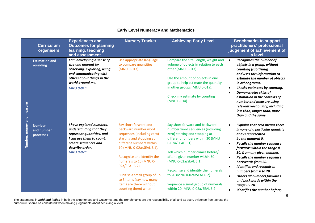# **Early Level Numeracy and Mathematics**

|               | <b>Curriculum</b><br>organisers          | <b>Experiences and</b><br><b>Outcomes for planning</b><br>learning, teaching<br>and assessment                                                                                  | <b>Nursery Tracker</b>                                                                                                                                                                                                                                                                                                                                  | <b>Achieving Early Level</b>                                                                                                                                                                                                                                                                                                                                                                              | <b>Benchmarks to support</b><br>practitioners' professional<br>judgement of achievement of<br>a level                                                                                                                                                                                                                                                                                                                                                                                                                                                |
|---------------|------------------------------------------|---------------------------------------------------------------------------------------------------------------------------------------------------------------------------------|---------------------------------------------------------------------------------------------------------------------------------------------------------------------------------------------------------------------------------------------------------------------------------------------------------------------------------------------------------|-----------------------------------------------------------------------------------------------------------------------------------------------------------------------------------------------------------------------------------------------------------------------------------------------------------------------------------------------------------------------------------------------------------|------------------------------------------------------------------------------------------------------------------------------------------------------------------------------------------------------------------------------------------------------------------------------------------------------------------------------------------------------------------------------------------------------------------------------------------------------------------------------------------------------------------------------------------------------|
| and measure   | <b>Estimation and</b><br>rounding        | I am developing a sense of<br>size and amount by<br>observing, exploring, using<br>and communicating with<br>others about things in the<br>world around me.<br><b>MNU 0-01a</b> | Use appropriate language<br>to compare quantities<br>(MNU 0-01a).                                                                                                                                                                                                                                                                                       | Compare the size, length, weight and<br>volume of objects in relation to each<br>other (MNU 0-01a).<br>Use the amount of objects in one<br>group to help estimate the quantity<br>in other groups (MNU 0-01a).<br>Check my estimate by counting<br>(MNU 0-01a).                                                                                                                                           | Recognises the number of<br>$\bullet$<br>objects in a group, without<br>counting (subitising)<br>and uses this information to<br>estimate the number of objects<br>in other groups.<br>Checks estimates by counting.<br>$\bullet$<br><b>Demonstrates skills of</b><br>$\bullet$<br>estimation in the contexts of<br>number and measure using<br>relevant vocabulary, including<br>less than, longer than, more<br>than and the same.                                                                                                                 |
| Number, money | <b>Number</b><br>and number<br>processes | I have explored numbers,<br>understanding that they<br>represent quantities, and<br>I can use them to count,<br>create sequences and<br>describe order.<br><b>MNU 0-02a</b>     | Say short forward and<br>backward number word<br>sequences (including zero)<br>starting and stopping at<br>different numbers within<br>10 (MNU 0-02a/SEAL 5.1).<br>Recognise and identify the<br>numerals to 10 (MNU 0-<br>02a/SEAL 5.2).<br>Subitise a small group of up<br>to 3 items (say how many<br>items are there without<br>counting them) when | Say short forward and backward<br>number word sequences (including<br>zero) starting and stopping at<br>different numbers within 30 (MNU<br>0-02a/SEAL 6.1).<br>Tell which number comes before/<br>after a given number within 30<br>(MNU 0-02a/SEAL 6.1).<br>Recognise and identify the numerals<br>to 20 (MNU 0-02a/SEAL 6.2).<br>Sequence a small group of numerals<br>within 20 (MNU 0-02a/SEAL 6.2). | <b>Explains that zero means there</b><br>$\bullet$<br>is none of a particular quantity<br>and is represented<br>by the numeral 0.<br><b>Recalls the number sequence</b><br>$\bullet$<br>forwards within the range 0 -<br>30, from any given number.<br><b>Recalls the number sequence</b><br>$\bullet$<br>backwards from 20.<br><b>Identifies and recognises</b><br>$\bullet$<br>numbers from 0 to 20.<br><b>Orders all numbers forwards</b><br>$\bullet$<br>and backwards within the<br>range 0 - 20.<br>Identifies the number before,<br>$\bullet$ |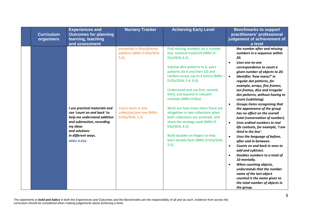| <b>Curriculum</b><br>organisers | <b>Experiences and</b><br><b>Outcomes for planning</b><br>learning, teaching<br>and assessment                                                                                                  | <b>Nursery Tracker</b>                                                                                                                | <b>Achieving Early Level</b>                                                                                                                                                                                                                                                                                                                                                                                                                                                                                                                                                              | <b>Benchmarks to support</b><br>practitioners' professional<br>judgement of achievement of<br>a level                                                                                                                                                                                                                                                                                                                                                                                                                                                                                                                                                                                                                                                                                                                                                                                                                                                                                                                   |
|---------------------------------|-------------------------------------------------------------------------------------------------------------------------------------------------------------------------------------------------|---------------------------------------------------------------------------------------------------------------------------------------|-------------------------------------------------------------------------------------------------------------------------------------------------------------------------------------------------------------------------------------------------------------------------------------------------------------------------------------------------------------------------------------------------------------------------------------------------------------------------------------------------------------------------------------------------------------------------------------------|-------------------------------------------------------------------------------------------------------------------------------------------------------------------------------------------------------------------------------------------------------------------------------------------------------------------------------------------------------------------------------------------------------------------------------------------------------------------------------------------------------------------------------------------------------------------------------------------------------------------------------------------------------------------------------------------------------------------------------------------------------------------------------------------------------------------------------------------------------------------------------------------------------------------------------------------------------------------------------------------------------------------------|
|                                 | I use practical materials and<br>can 'count on and back' to<br>help me understand addition<br>and subtraction, recording<br>my ideas<br>and solutions<br>in different ways.<br><b>MNU 0-03a</b> | presented in dice/domino<br>patterns (MNU 0-02a/SEAL<br>$5.4$ ).<br>Count items in one<br>collection/one row (MNU<br>0-03a/SEAL 5.3). | Find missing numbers on a number<br>line, numeral track/roll (MNU 0-<br>02a/SEAL 6.2).<br>Subitise dice patterns to 6, pairs<br>patterns (to 6 and then 10) and<br>random arrays (up to 4 items) (MNU<br>0-02a/SEAL 5.4, 6.4).<br>Understand and use first, second,<br>third, and beyond in relevant<br>contexts (MNU 0-02a).<br>Work out how many items there are<br>altogether in two collections when<br>both collections are screened, and<br>share the strategy used (MNU 0-<br>03a/SEAL 6.3).<br>Build doubles on fingers to help<br>learn double facts (MNU 0-03a/SEAL<br>$5.5$ ). | the number after and missing<br>numbers in a sequence within<br>20.<br>Uses one-to-one<br>$\bullet$<br>correspondence to count a<br>given number of objects to 20.<br>Identifies 'how many?' in<br>$\bullet$<br>regular dot patterns, for<br>example, arrays, five frames,<br>ten frames, dice and irregular<br>dot patterns, without having to<br>count (subitising).<br>Groups items recognising that<br>$\bullet$<br>the appearance of the group<br>has no effect on the overall<br>total (conservation of number).<br>Uses ordinal numbers in real<br>$\bullet$<br>life contexts, for example, 'I am<br>third in the line'.<br>Uses the language of before,<br>$\bullet$<br>after and in-between.<br>Counts on and back in ones to<br>$\bullet$<br>add and subtract.<br>Doubles numbers to a total of<br>$\bullet$<br>10 mentally.<br>When counting objects,<br>$\bullet$<br>understands that the number<br>name of the last object<br>counted is the name given to<br>the total number of objects in<br>the group. |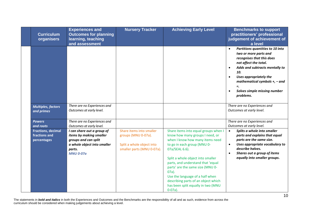| <b>Curriculum</b><br>organisers                           | <b>Experiences and</b><br><b>Outcomes for planning</b><br>learning, teaching<br>and assessment                                             | <b>Nursery Tracker</b>                                                                                     | <b>Achieving Early Level</b>                                                                                                                                                                                                                                                                                                                                                                                        | <b>Benchmarks to support</b><br>practitioners' professional<br>judgement of achievement of<br>a level                                                                                                                                                                                                                     |
|-----------------------------------------------------------|--------------------------------------------------------------------------------------------------------------------------------------------|------------------------------------------------------------------------------------------------------------|---------------------------------------------------------------------------------------------------------------------------------------------------------------------------------------------------------------------------------------------------------------------------------------------------------------------------------------------------------------------------------------------------------------------|---------------------------------------------------------------------------------------------------------------------------------------------------------------------------------------------------------------------------------------------------------------------------------------------------------------------------|
|                                                           |                                                                                                                                            |                                                                                                            |                                                                                                                                                                                                                                                                                                                                                                                                                     | Partitions quantities to 10 into<br>$\bullet$<br>two or more parts and<br>recognises that this does<br>not affect the total.<br>Adds and subtracts mentally to<br>$\bullet$<br>10.<br>Uses appropriately the<br>$\bullet$<br>mathematical symbols $+$ , $-$ and<br>Solves simple missing number<br>$\bullet$<br>problems. |
| <b>Multiples, factors</b><br>and primes                   | There are no Experiences and<br>Outcomes at early level.                                                                                   |                                                                                                            |                                                                                                                                                                                                                                                                                                                                                                                                                     | There are no Experiences and<br>Outcomes at early level.                                                                                                                                                                                                                                                                  |
| <b>Powers</b><br>and roots                                | There are no Experiences and<br>Outcomes at early level.                                                                                   |                                                                                                            |                                                                                                                                                                                                                                                                                                                                                                                                                     | There are no Experiences and<br>Outcomes at early level.                                                                                                                                                                                                                                                                  |
| <b>Fractions, decimal</b><br>fractions and<br>percentages | I can share out a group of<br>items by making smaller<br>groups and can split<br>a whole object into smaller<br>parts.<br><b>MNU 0-07a</b> | Share items into smaller<br>groups (MNU 0-07a).<br>Split a whole object into<br>smaller parts (MNU 0-07a). | Share items into equal groups when I<br>know how many groups I need, or<br>when I know how many items need<br>to go in each group (MNU 0-<br>07a/SEAL 6.6).<br>Split a whole object into smaller<br>parts, and understand that 'equal<br>parts' are the same size (MNU 0-<br>$07a$ ).<br>Use the language of a half when<br>describing parts of an object which<br>has been split equally in two (MNU<br>$0-07a$ ). | Splits a whole into smaller<br>$\bullet$<br>parts and explains that equal<br>parts are the same size.<br>Uses appropriate vocabulary to<br>$\bullet$<br>describe halves.<br>Shares out a group of items<br>$\bullet$<br>equally into smaller groups.                                                                      |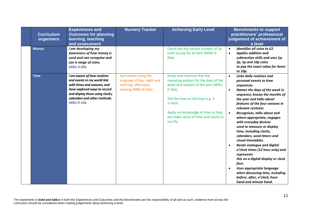| <b>Curriculum</b><br>organisers | <b>Experiences and</b><br><b>Outcomes for planning</b><br>learning, teaching<br>and assessment                                                                                                                  | <b>Nursery Tracker</b>                                                                             | <b>Achieving Early Level</b>                                                                                                                                                                                                                                    | <b>Benchmarks to support</b><br>practitioners' professional<br>judgement of achievement of<br>a level                                                                                                                                                                                                                                                                                                                                                                                                                                                                                                                                                                                                                                                              |
|---------------------------------|-----------------------------------------------------------------------------------------------------------------------------------------------------------------------------------------------------------------|----------------------------------------------------------------------------------------------------|-----------------------------------------------------------------------------------------------------------------------------------------------------------------------------------------------------------------------------------------------------------------|--------------------------------------------------------------------------------------------------------------------------------------------------------------------------------------------------------------------------------------------------------------------------------------------------------------------------------------------------------------------------------------------------------------------------------------------------------------------------------------------------------------------------------------------------------------------------------------------------------------------------------------------------------------------------------------------------------------------------------------------------------------------|
| <b>Money</b>                    | I am developing my<br>awareness of how money is<br>used and can recognise and<br>use a range of coins.<br><b>MNU 0-09a</b>                                                                                      |                                                                                                    | Count out the correct number of 1p<br>coins to pay for an item (MNU 0-<br>09a).                                                                                                                                                                                 | Identifies all coins to £2.<br>$\bullet$<br><b>Applies addition and</b><br>$\bullet$<br>subtraction skills and uses 1p,<br>2p, 5p and 10p coins<br>to pay the exact value for items<br>to 10p.                                                                                                                                                                                                                                                                                                                                                                                                                                                                                                                                                                     |
| <b>Time</b>                     | I am aware of how routines<br>and events in my world link<br>with times and seasons, and<br>have explored ways to record<br>and display these using clocks,<br>calendars and other methods.<br><b>MNU 0-10a</b> | Sort events using the<br>language of day, night and<br>morning, afternoon,<br>evening (MNU 0-10a). | Know and continue that the<br>repeating pattern for the days of the<br>week and seasons of the year (MNU<br>$0-10a$ ).<br>Tell the time on the hour e.g. 3<br>o'clock.<br>Apply my knowledge of time to help<br>me make sense of time and events in<br>my life. | <b>Links daily routines and</b><br>$\bullet$<br>personal events to time<br>sequences.<br>Names the days of the week in<br>$\bullet$<br>sequence, knows the months of<br>the year and talks about<br>features of the four seasons in<br>relevant contexts.<br>Recognises, talks about and<br>$\bullet$<br>where appropriate, engages<br>with everyday devices<br>used to measure or display<br>time, including clocks,<br>calendars, sand timers and<br>visual timetables.<br><b>Reads analogue and digital</b><br>$\bullet$<br>o'clock times (12 hour only) and<br>represents<br>this on a digital display or clock<br>face.<br>Uses appropriate language<br>$\bullet$<br>when discussing time, including<br>before, after, o'clock, hour<br>hand and minute hand. |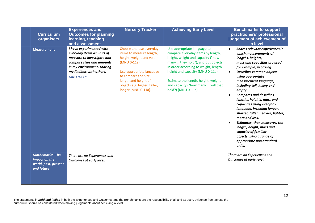| <b>Curriculum</b><br>organisers                                                 | <b>Experiences and</b><br><b>Outcomes for planning</b><br>learning, teaching<br>and assessment                                                                                                  | <b>Nursery Tracker</b>                                                                                                                                                                                                              | <b>Achieving Early Level</b>                                                                                                                                                                                                                                                                                                 | <b>Benchmarks to support</b><br>practitioners' professional<br>judgement of achievement of<br>a level                                                                                                                                                                                                                                                                                                                                                                                                                                                                                                                                                          |
|---------------------------------------------------------------------------------|-------------------------------------------------------------------------------------------------------------------------------------------------------------------------------------------------|-------------------------------------------------------------------------------------------------------------------------------------------------------------------------------------------------------------------------------------|------------------------------------------------------------------------------------------------------------------------------------------------------------------------------------------------------------------------------------------------------------------------------------------------------------------------------|----------------------------------------------------------------------------------------------------------------------------------------------------------------------------------------------------------------------------------------------------------------------------------------------------------------------------------------------------------------------------------------------------------------------------------------------------------------------------------------------------------------------------------------------------------------------------------------------------------------------------------------------------------------|
| <b>Measurement</b>                                                              | I have experimented with<br>everyday items as units of<br>measure to investigate and<br>compare sizes and amounts<br>in my environment, sharing<br>my findings with others.<br><b>MNU 0-11a</b> | Choose and use everyday<br>items to measure length,<br>height, weight and volume<br>(MNU 0-11a).<br>Use appropriate language<br>to compare the size,<br>length and height of<br>objects e.g. bigger, taller,<br>longer (MNU 0-11a). | Use appropriate language to<br>compare everyday items by length,<br>height, weight and capacity ("how<br>many  they hold"), and put objects<br>in order according to weight, length,<br>height and capacity (MNU 0-11a).<br>Estimate the length, height, weight<br>and capacity ("how many  will that<br>hold?) (MNU 0-11a). | Shares relevant experiences in<br>$\bullet$<br>which measurements of<br>lengths, heights,<br>mass and capacities are used,<br>for example, in baking.<br><b>Describes common objects</b><br>$\bullet$<br>using appropriate<br>measurement language,<br>including tall, heavy and<br>empty.<br><b>Compares and describes</b><br>$\bullet$<br>lengths, heights, mass and<br>capacities using everyday<br>language, including longer,<br>shorter, taller, heavier, lighter,<br>more and less.<br>Estimates, then measures, the<br>$\bullet$<br>length, height, mass and<br>capacity of familiar<br>objects using a range of<br>appropriate non-standard<br>units. |
| <b>Mathematics – its</b><br>impact on the<br>world, past, present<br>and future | There are no Experiences and<br>Outcomes at early level.                                                                                                                                        |                                                                                                                                                                                                                                     |                                                                                                                                                                                                                                                                                                                              | There are no Experiences and<br>Outcomes at early level.                                                                                                                                                                                                                                                                                                                                                                                                                                                                                                                                                                                                       |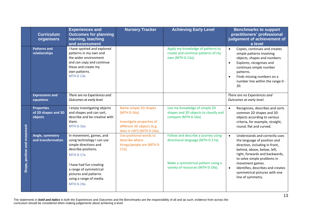|                              | <b>Curriculum</b><br>organisers                     | <b>Experiences and</b><br><b>Outcomes for planning</b><br>learning, teaching<br>and assessment                                                                                                                                                         | <b>Nursery Tracker</b>                                                                                                          | <b>Achieving Early Level</b>                                                                                                                        | <b>Benchmarks to support</b><br>practitioners' professional<br>judgement of achievement of<br>a level                                                                                                                                                                                                                                    |
|------------------------------|-----------------------------------------------------|--------------------------------------------------------------------------------------------------------------------------------------------------------------------------------------------------------------------------------------------------------|---------------------------------------------------------------------------------------------------------------------------------|-----------------------------------------------------------------------------------------------------------------------------------------------------|------------------------------------------------------------------------------------------------------------------------------------------------------------------------------------------------------------------------------------------------------------------------------------------------------------------------------------------|
|                              | <b>Patterns and</b><br>relationships                | I have spotted and explored<br>patterns in my own and<br>the wider environment<br>and can copy and continue<br>these and create my<br>own patterns.<br><b>MTH 0-13a</b>                                                                                |                                                                                                                                 | Apply my knowledge of patterns to<br>create and continue patterns of my<br>own (MTH 0-13a).                                                         | Copies, continues and creates<br>$\bullet$<br>simple patterns involving<br>objects, shapes and numbers.<br>Explores, recognises and<br>$\bullet$<br>continues simple number<br>patterns.<br>Finds missing numbers on a<br>$\bullet$<br>number line within the range 0 -<br>20.                                                           |
|                              | <b>Expressions and</b><br>equations                 | There are no Experiences and<br>Outcomes at early level.                                                                                                                                                                                               |                                                                                                                                 |                                                                                                                                                     | There are no Experiences and<br>Outcomes at early level.                                                                                                                                                                                                                                                                                 |
|                              | <b>Properties</b><br>of 2D shapes and 3D<br>objects | I enjoy investigating objects<br>and shapes and can sort,<br>describe and be creative with<br>them.<br><b>MTH 0-16a</b>                                                                                                                                | Name simple 2D shapes<br>(MTH 0-16a).<br>Investigate properties of<br>different 3D objects (e.g.<br>does it roll?) (MTH 0-16a). | Use my knowledge of simple 2D<br>shapes and 3D objects to classify and<br>compare (MTH 0-16a).                                                      | Recognises, describes and sorts<br>$\bullet$<br>common 2D shapes and 3D<br>objects according to various<br>criteria, for example, straight,<br>round, flat and curved.                                                                                                                                                                   |
| Shape, position and movement | Angle, symmetry<br>and transformation               | In movement, games, and<br>using technology I can use<br>simple directions and<br>describe positions.<br><b>MTH 0-17a</b><br>I have had fun creating<br>a range of symmetrical<br>pictures and patterns<br>using a range of media.<br><b>MTH 0-19a</b> | Use positional words to<br>describe where<br>things/people are (MTH 0-<br>$17a$ ).                                              | Follow and describe a journey using<br>directional language (MTH 0-17a).<br>Make a symmetrical pattern using a<br>variety of resources (MTH 0-19a). | Understands and correctly uses<br>$\bullet$<br>the language of position and<br>direction, including in front,<br>behind, above, below, left,<br>right, forwards and backwards,<br>to solve simple problems in<br>movement games.<br>Identifies, describes and creates<br>$\bullet$<br>symmetrical pictures with one<br>line of symmetry. |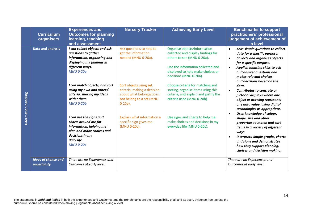|                      | <b>Curriculum</b><br>organisers           | <b>Experiences and</b><br><b>Outcomes for planning</b><br>learning, teaching<br>and assessment                                                                | <b>Nursery Tracker</b>                                                                                                     | <b>Achieving Early Level</b>                                                                                                                                                                         | <b>Benchmarks to support</b><br>practitioners' professional<br>judgement of achievement of<br>a level                                                                                                                                                                                             |
|----------------------|-------------------------------------------|---------------------------------------------------------------------------------------------------------------------------------------------------------------|----------------------------------------------------------------------------------------------------------------------------|------------------------------------------------------------------------------------------------------------------------------------------------------------------------------------------------------|---------------------------------------------------------------------------------------------------------------------------------------------------------------------------------------------------------------------------------------------------------------------------------------------------|
|                      | Data and analysis                         | I can collect objects and ask<br>questions to gather<br>information, organising and<br>displaying my findings in<br>different ways.<br><b>MNU 0-20a</b>       | Ask questions to help to<br>get the information<br>needed (MNU 0-20a).                                                     | Organise objects/information<br>collected and display findings for<br>others to see (MNU 0-20a).<br>Use the information collected and<br>displayed to help make choices or<br>decisions (MNU 0-20a). | Asks simple questions to collect<br>$\bullet$<br>data for a specific purpose.<br><b>Collects and organises objects</b><br>$\bullet$<br>for a specific purpose.<br>Applies counting skills to ask<br>$\bullet$<br>and answer questions and<br>makes relevant choices<br>and decisions based on the |
| Information handling |                                           | I can match objects, and sort<br>using my own and others'<br>criteria, sharing my ideas<br>with others.<br><b>MNU 0-20b</b>                                   | Sort objects using set<br>criteria, making a decision<br>about what belongs/does<br>not belong to a set (MNU<br>$0-20b$ ). | Choose criteria for matching and<br>sorting, organise items using this<br>criteria, and explain and justify the<br>criteria used (MNU 0-20b).                                                        | data.<br>Contributes to concrete or<br>$\bullet$<br>pictorial displays where one<br>object or drawing represents<br>one data value, using digital<br>technologies as appropriate.<br>Uses knowledge of colour,<br>$\bullet$                                                                       |
|                      |                                           | I can use the signs and<br>charts around me for<br>information, helping me<br>plan and make choices and<br>decisions in my<br>daily life.<br><b>MNU 0-20c</b> | Explain what information a<br>specific sign gives me<br>(MNU 0-20c).                                                       | Use signs and charts to help me<br>make choices and decisions in my<br>everyday life (MNU 0-20c).                                                                                                    | shape, size and other<br>properties to match and sort<br>items in a variety of different<br>ways.<br>Interprets simple graphs, charts<br>$\bullet$<br>and signs and demonstrates<br>how they support planning,<br>choices and decision making.                                                    |
|                      | <b>Ideas of chance and</b><br>uncertainty | There are no Experiences and<br>Outcomes at early level.                                                                                                      |                                                                                                                            |                                                                                                                                                                                                      | There are no Experiences and<br>Outcomes at early level.                                                                                                                                                                                                                                          |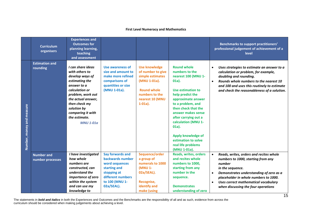### **First Level Numeracy and Mathematics**

|                           | <b>Curriculum</b><br>organisers       | <b>Experiences and</b><br><b>Outcomes for</b><br>planning learning,<br>teaching<br>and assessment                                                                                                                                              |                                                                                                                                            |                                                                                                                                                        |                                                                                                                                                                                                                                                                                                                                                        | <b>Benchmarks to support practitioners'</b><br>professional judgement of achievement of a<br>level                                                                                                                                                                                                                    |
|---------------------------|---------------------------------------|------------------------------------------------------------------------------------------------------------------------------------------------------------------------------------------------------------------------------------------------|--------------------------------------------------------------------------------------------------------------------------------------------|--------------------------------------------------------------------------------------------------------------------------------------------------------|--------------------------------------------------------------------------------------------------------------------------------------------------------------------------------------------------------------------------------------------------------------------------------------------------------------------------------------------------------|-----------------------------------------------------------------------------------------------------------------------------------------------------------------------------------------------------------------------------------------------------------------------------------------------------------------------|
| Number, money and measure | <b>Estimation and</b><br>rounding     | I can share ideas<br>with others to<br>develop ways of<br>estimating the<br>answer to a<br>calculation or<br>problem, work out<br>the actual answer,<br>then check my<br>solution by<br>comparing it with<br>the estimate.<br><b>MNU 1-01a</b> | Use awareness of<br>size and amount to<br>make more refined<br>comparisons of<br>quantities or size<br>(MNU 1-01a).                        | <b>Use knowledge</b><br>of number to give<br>simple estimates<br>(MNU 1-01a).<br><b>Round whole</b><br>numbers to the<br>nearest 10 (MNU<br>$1-01a$ ). | <b>Round whole</b><br>numbers to the<br>nearest 100 (MNU 1-<br>$01a$ ).<br>Use estimation to<br>help predict the<br>approximate answer<br>to a problem, and<br>then check that the<br>answer makes sense<br>after carrying out a<br>calculation (MNU 1-<br>$01a$ ).<br>Apply knowledge of<br>estimation to solve<br>real life problems<br>(MNU 1-01a). | Uses strategies to estimate an answer to a<br>$\bullet$<br>calculation or problem, for example,<br>doubling and rounding.<br>Rounds whole numbers to the nearest 10<br>$\bullet$<br>and 100 and uses this routinely to estimate<br>and check the reasonableness of a solution.                                        |
|                           | <b>Number and</b><br>number processes | I have investigated<br>how whole<br>numbers are<br>constructed, can<br>understand the<br>importance of zero<br>within the system<br>and can use my<br>knowledge to                                                                             | Say forwards and<br>backwards number<br>word sequences<br>starting and<br>stopping at<br>different numbers<br>to 100 (MNU 1-<br>02a/SEAL). | Sequence/order<br>a group of<br>numerals to 1000<br>(MNU 1-<br>02a/SEAL).<br>Recognise,<br>identify and<br>make (using                                 | <b>Reads, writes, orders</b><br>and recites whole<br>numbers to 1000.<br>starting from any<br>number in the<br>sequence.<br><b>Demonstrates</b><br>understanding of zero                                                                                                                                                                               | Reads, writes, orders and recites whole<br>$\bullet$<br>numbers to 1000, starting from any<br>number<br>in the sequence.<br>Demonstrates understanding of zero as a<br>$\bullet$<br>placeholder in whole numbers to 1000.<br>Uses correct mathematical vocabulary<br>$\bullet$<br>when discussing the four operations |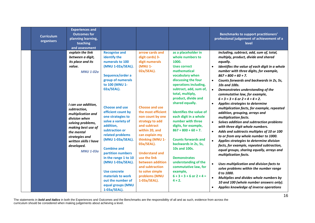| <b>Curriculum</b><br>organisers | <b>Experiences and</b><br><b>Outcomes for</b><br>planning learning,<br>teaching<br>and assessment                                                                                                                                                                                                           |                                                                                                                                                                                                                                                                                                                                                                                                                                                                                  |                                                                                                                                                                                                                                                                                                                                                                                               |                                                                                                                                                                                                                                                                                                                                                                                                                                                                                                                                                                                                      | <b>Benchmarks to support practitioners'</b><br>professional judgement of achievement of a<br>level                                                                                                                                                                                                                                                                                                                                                                                                                                                                                                                                                                                                                                                                                                                                                                                                                                                                                                                                                                                                                                                                                        |
|---------------------------------|-------------------------------------------------------------------------------------------------------------------------------------------------------------------------------------------------------------------------------------------------------------------------------------------------------------|----------------------------------------------------------------------------------------------------------------------------------------------------------------------------------------------------------------------------------------------------------------------------------------------------------------------------------------------------------------------------------------------------------------------------------------------------------------------------------|-----------------------------------------------------------------------------------------------------------------------------------------------------------------------------------------------------------------------------------------------------------------------------------------------------------------------------------------------------------------------------------------------|------------------------------------------------------------------------------------------------------------------------------------------------------------------------------------------------------------------------------------------------------------------------------------------------------------------------------------------------------------------------------------------------------------------------------------------------------------------------------------------------------------------------------------------------------------------------------------------------------|-------------------------------------------------------------------------------------------------------------------------------------------------------------------------------------------------------------------------------------------------------------------------------------------------------------------------------------------------------------------------------------------------------------------------------------------------------------------------------------------------------------------------------------------------------------------------------------------------------------------------------------------------------------------------------------------------------------------------------------------------------------------------------------------------------------------------------------------------------------------------------------------------------------------------------------------------------------------------------------------------------------------------------------------------------------------------------------------------------------------------------------------------------------------------------------------|
|                                 | explain the link<br>between a digit,<br>its place and its<br>value.<br><b>MNU 1-02a</b><br>I can use addition,<br>subtraction,<br>multiplication and<br>division when<br>solving problems,<br>making best use of<br>the mental<br>strategies and<br>written skills I have<br>developed.<br><b>MNU 1-03a</b> | <b>Recognise and</b><br>identify the<br>numerals to 100<br>(MNU 1-02a/SEAL).<br>Sequence/order a<br>group of numerals<br>to 100 (MNU 1-<br>02a/SEAL).<br><b>Choose and use</b><br>efficient count by<br>one strategies to<br>solve a variety of<br>addition.<br>subtraction or<br>related problems<br>(MNU 1-03a/SEAL).<br><b>Combine and</b><br>partition numbers<br>in the range 1 to 10<br>(MNU 1-03a/SEAL).<br><b>Use concrete</b><br>materials to work<br>out the number of | arrow cards and<br>digit cards) 3-<br>digit numerals<br>(MNU 1-<br>02a/SEAL).<br><b>Choose and use</b><br>the most efficient<br>non count by one<br>strategy to add<br>and subtract<br>within 20, and<br>can explain my<br>thinking (MNU 1-<br>03a/SEAL).<br><b>Understand and</b><br>use the link<br>between addition<br>and subtraction<br>to solve simple<br>problems (MNU<br>1-03a/SEAL). | as a placeholder in<br>whole numbers to<br>1000.<br><b>Uses correct</b><br>mathematical<br>vocabulary when<br>discussing the four<br>operations including,<br>subtract, add, sum of,<br>total, multiply,<br>product, divide and<br>shared equally.<br><b>Identifies the value of</b><br>each digit in a whole<br>number with three<br>digits, for example,<br>$867 = 800 + 60 + 7.$<br><b>Counts forwards and</b><br>backwards in 2s, 5s,<br>10s and 100s.<br><b>Demonstrates</b><br>understanding of the<br>commutative law, for<br>example,<br>$6 + 3 = 3 + 6$ or $2 \times 4 =$<br>$4 \times 2$ . | including, subtract, add, sum of, total,<br>multiply, product, divide and shared<br>equally.<br>Identifies the value of each digit in a whole<br>$\bullet$<br>number with three digits, for example,<br>$867 = 800 + 60 + 7$ .<br>Counts forwards and backwards in 2s, 5s,<br>$\bullet$<br>10s and 100s.<br>Demonstrates understanding of the<br>$\bullet$<br>commutative law, for example,<br>$6 + 3 = 3 + 6$ or $2 \times 4 = 4 \times 2$ .<br>$\bullet$<br>Applies strategies to determine<br>multiplication facts, for example, repeated<br>addition, grouping, arrays and<br>multiplication facts.<br>Solves addition and subtraction problems<br>$\bullet$<br>with three digit whole numbers.<br>Adds and subtracts multiples of 10 or 100<br>$\bullet$<br>to or from any whole number to 1000.<br>$\bullet$<br>Applies strategies to determine division<br>facts, for example, repeated subtraction,<br>equal groups, sharing equally, arrays and<br>multiplication facts.<br>Uses multiplication and division facts to<br>solve problems within the number range<br>0 to 1000.<br>Multiplies and divides whole numbers by<br>$\bullet$<br>10 and 100 (whole number answers only). |
|                                 |                                                                                                                                                                                                                                                                                                             | equal groups (MNU<br>1-03a/SEAL).                                                                                                                                                                                                                                                                                                                                                                                                                                                |                                                                                                                                                                                                                                                                                                                                                                                               |                                                                                                                                                                                                                                                                                                                                                                                                                                                                                                                                                                                                      | Applies knowledge of inverse operations                                                                                                                                                                                                                                                                                                                                                                                                                                                                                                                                                                                                                                                                                                                                                                                                                                                                                                                                                                                                                                                                                                                                                   |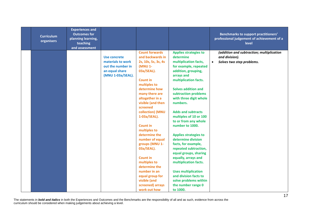| <b>Curriculum</b><br>organisers | <b>Experiences and</b><br><b>Outcomes for</b><br>planning learning,<br>teaching<br>and assessment |                                                                                               |                                                                                                                                                                                                                                                                                                                                                                                                                                                                                                           |                                                                                                                                                                                                                                                                                                                                                                                                                                                                                                                                                                                                                                                          | <b>Benchmarks to support practitioners'</b><br>professional judgement of achievement of a<br>level    |
|---------------------------------|---------------------------------------------------------------------------------------------------|-----------------------------------------------------------------------------------------------|-----------------------------------------------------------------------------------------------------------------------------------------------------------------------------------------------------------------------------------------------------------------------------------------------------------------------------------------------------------------------------------------------------------------------------------------------------------------------------------------------------------|----------------------------------------------------------------------------------------------------------------------------------------------------------------------------------------------------------------------------------------------------------------------------------------------------------------------------------------------------------------------------------------------------------------------------------------------------------------------------------------------------------------------------------------------------------------------------------------------------------------------------------------------------------|-------------------------------------------------------------------------------------------------------|
|                                 |                                                                                                   | Use concrete<br>materials to work<br>out the number in<br>an equal share<br>(MNU 1-03a/SEAL). | <b>Count forwards</b><br>and backwards in<br>2s, 10s, 5s, 3s, 4s<br>(MNU 1-<br>03a/SEAL).<br><b>Count in</b><br>multiples to<br>determine how<br>many there are<br>altogether in a<br>visible (and then<br>screened<br>collection) (MNU<br>1-03a/SEAL).<br><b>Count in</b><br>multiples to<br>determine the<br>number of equal<br>groups (MNU 1-<br>03a/SEAL).<br><b>Count in</b><br>multiples to<br>determine the<br>number in an<br>equal group for<br>visible (and<br>screened) arrays<br>work out how | <b>Applies strategies to</b><br>determine<br>multiplication facts,<br>for example, repeated<br>addition, grouping,<br>arrays and<br>multiplication facts.<br><b>Solves addition and</b><br>subtraction problems<br>with three digit whole<br>numbers.<br><b>Adds and subtracts</b><br>multiples of 10 or 100<br>to or from any whole<br>number to 1000.<br><b>Applies strategies to</b><br>determine division<br>facts, for example,<br>repeated subtraction,<br>equal groups, sharing<br>equally, arrays and<br>multiplication facts.<br><b>Uses multiplication</b><br>and division facts to<br>solve problems within<br>the number range 0<br>to 1000. | (addition and subtraction; multiplication<br>and division).<br>Solves two step problems.<br>$\bullet$ |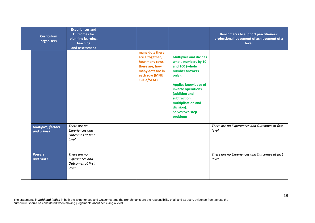| <b>Curriculum</b><br>organisers         | <b>Experiences and</b><br><b>Outcomes for</b><br>planning learning,<br>teaching<br>and assessment |                                                                                                                            |                                                                                                                                                                                                                                                              | <b>Benchmarks to support practitioners'</b><br>professional judgement of achievement of a<br>level |
|-----------------------------------------|---------------------------------------------------------------------------------------------------|----------------------------------------------------------------------------------------------------------------------------|--------------------------------------------------------------------------------------------------------------------------------------------------------------------------------------------------------------------------------------------------------------|----------------------------------------------------------------------------------------------------|
|                                         |                                                                                                   | many dots there<br>are altogether,<br>how many rows<br>there are, how<br>many dots are in<br>each row (MNU<br>1-03a/SEAL). | <b>Multiplies and divides</b><br>whole numbers by 10<br>and 100 (whole<br>number answers<br>only).<br><b>Applies knowledge of</b><br>inverse operations<br>(addition and<br>subtraction;<br>multiplication and<br>division).<br>Solves two step<br>problems. |                                                                                                    |
| <b>Multiples, factors</b><br>and primes | There are no<br><b>Experiences and</b><br>Outcomes at first<br>level.                             |                                                                                                                            |                                                                                                                                                                                                                                                              | There are no Experiences and Outcomes at first<br>level.                                           |
| <b>Powers</b><br>and roots              | There are no<br><b>Experiences and</b><br>Outcomes at first<br>level.                             |                                                                                                                            |                                                                                                                                                                                                                                                              | There are no Experiences and Outcomes at first<br>level.                                           |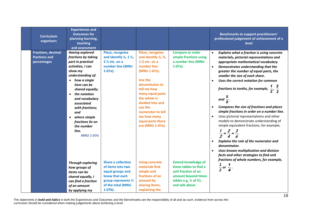| <b>Curriculum</b><br>organisers                           | <b>Experiences and</b><br><b>Outcomes for</b><br>planning learning,<br>teaching<br>and assessment                                                                                                                                                                                                                                                                         |                                                                                                                                                 |                                                                                                                                                                                                                                                                                               |                                                                                                                                                            | <b>Benchmarks to support practitioners'</b><br>professional judgement of achievement of a<br>level                                                                                                                                                                                                                                                                                                                                                                                                                                                                                                                                                                                                                                                                                          |
|-----------------------------------------------------------|---------------------------------------------------------------------------------------------------------------------------------------------------------------------------------------------------------------------------------------------------------------------------------------------------------------------------------------------------------------------------|-------------------------------------------------------------------------------------------------------------------------------------------------|-----------------------------------------------------------------------------------------------------------------------------------------------------------------------------------------------------------------------------------------------------------------------------------------------|------------------------------------------------------------------------------------------------------------------------------------------------------------|---------------------------------------------------------------------------------------------------------------------------------------------------------------------------------------------------------------------------------------------------------------------------------------------------------------------------------------------------------------------------------------------------------------------------------------------------------------------------------------------------------------------------------------------------------------------------------------------------------------------------------------------------------------------------------------------------------------------------------------------------------------------------------------------|
| <b>Fractions, decimal</b><br>fractions and<br>percentages | <b>Having explored</b><br>fractions by taking<br>part in practical<br>activities, I can<br>show my<br>understanding of:<br>how a single<br>$\bullet$<br>item can be<br>shared equally;<br>the notation<br>$\bullet$<br>and vocabulary<br>associated<br>with fractions;<br>and<br>where simple<br>$\bullet$<br>fractions lie on<br>the number<br>line.<br><b>MNU 1-07a</b> | Place, recognise<br>and identify $\frac{1}{2}$ , 1 $\frac{1}{2}$ ,<br>$2\frac{1}{2}$ etc. on a<br>number line (MNU<br>$1-07a$ ).                | <b>Place, recognise</b><br>and identify 1/4, 3/4,<br>1 % etc. on a<br>number line<br>(MNU 1-07a).<br>Use the<br>denominator to<br>tell me how<br>many equal parts<br>the whole is<br>divided into and<br>use the<br>numerator to tell<br>me how many<br>equal parts there<br>are (MNU 1-07a). | <b>Compare or order</b><br>simple fractions using<br>a number line (MNU<br>$1-07a$ ).                                                                      | $\bullet$<br>Explains what a fraction is using concrete<br>materials, pictorial representations and<br>appropriate mathematical vocabulary.<br>Demonstrates understanding that the<br>$\bullet$<br>greater the number of equal parts, the<br>smaller the size of each share.<br>Uses the correct notation for common<br>$\bullet$<br>fractions to tenths, for example, $\frac{1}{2}$ , $\frac{2}{3}$<br>and $\frac{1}{8}$ .<br>Compares the size of fractions and places<br>simple fractions in order on a number line.<br>Uses pictorial representations and other<br>$\bullet$<br>models to demonstrate understanding of<br>simple equivalent fractions, for example,<br>$\frac{1}{2} = \frac{2}{4} = \frac{3}{6}$<br>Explains the role of the numerator and<br>$\bullet$<br>denominator. |
|                                                           | <b>Through exploring</b><br>how groups of<br>items can be<br>shared equally, I<br>can find a fraction<br>of an amount<br>by applying my                                                                                                                                                                                                                                   | <b>Share a collection</b><br>of items into two<br>equal groups and<br>know that each<br>group represents 1/2<br>of the total (MNU<br>$1-07b$ ). | <b>Using concrete</b><br>materials find<br>simple unit<br>fractions of an<br>amount by<br>sharing items,<br>explaining the                                                                                                                                                                    | <b>Extend knowledge of</b><br>times tables to find a<br>unit fraction of an<br>amount beyond times<br>tables e.g. 1/ <sub>3</sub> of 51,<br>and talk about | Uses known multiplication and division<br>facts and other strategies to find unit<br>fractions of whole numbers, for example,<br>1<br>$\frac{1}{2}$ or $\frac{1}{4}$ .                                                                                                                                                                                                                                                                                                                                                                                                                                                                                                                                                                                                                      |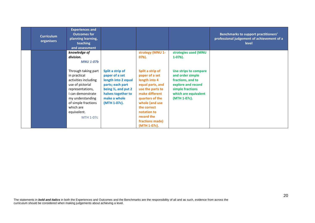| <b>Curriculum</b><br>organisers | <b>Experiences and</b><br><b>Outcomes for</b><br>planning learning,<br>teaching<br>and assessment                                                                                                                   |                                                                                                                                                                        |                                                                                                                                                                                                                                   |                                                                                                                                                  | <b>Benchmarks to support practitioners'</b><br>professional judgement of achievement of a<br>level |
|---------------------------------|---------------------------------------------------------------------------------------------------------------------------------------------------------------------------------------------------------------------|------------------------------------------------------------------------------------------------------------------------------------------------------------------------|-----------------------------------------------------------------------------------------------------------------------------------------------------------------------------------------------------------------------------------|--------------------------------------------------------------------------------------------------------------------------------------------------|----------------------------------------------------------------------------------------------------|
|                                 | knowledge of                                                                                                                                                                                                        |                                                                                                                                                                        | strategy (MNU 1-                                                                                                                                                                                                                  | strategies used (MNU                                                                                                                             |                                                                                                    |
|                                 | division.<br><b>MNU 1-07b</b>                                                                                                                                                                                       |                                                                                                                                                                        | 07b).                                                                                                                                                                                                                             | $1-07b$ ).                                                                                                                                       |                                                                                                    |
|                                 | Through taking part<br>in practical<br>activities including<br>use of pictorial<br>representations,<br>I can demonstrate<br>my understanding<br>of simple fractions<br>which are<br>equivalent.<br><b>MTH 1-07c</b> | Split a strip of<br>paper of a set<br>length into 2 equal<br>parts; each part<br>being $\frac{1}{2}$ , and put 2<br>halves together to<br>make a whole<br>(MTH 1-07c). | Split a strip of<br>paper of a set<br>length into 4<br>equal parts, and<br>use the parts to<br>make different<br>quarters of the<br>whole (and use<br>the correct<br>notation to<br>record the<br>fractions made)<br>(MTH 1-07c). | Use strips to compare<br>and order simple<br>fractions, and to<br>explore and record<br>simple fractions<br>which are equivalent<br>(MTH 1-07c). |                                                                                                    |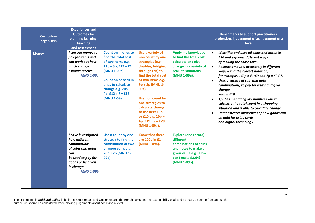| <b>Curriculum</b><br>organisers | <b>Experiences and</b><br><b>Outcomes for</b><br>planning learning,<br>teaching<br>and assessment                                                                     |                                                                                                                                                                                                                                  |                                                                                                                                                                                                                                                                                                                      |                                                                                                                                                         | <b>Benchmarks to support practitioners'</b><br>professional judgement of achievement of a<br>level                                                                                                                                                                                                                                                                                                                                                                                                                                                                                                                |
|---------------------------------|-----------------------------------------------------------------------------------------------------------------------------------------------------------------------|----------------------------------------------------------------------------------------------------------------------------------------------------------------------------------------------------------------------------------|----------------------------------------------------------------------------------------------------------------------------------------------------------------------------------------------------------------------------------------------------------------------------------------------------------------------|---------------------------------------------------------------------------------------------------------------------------------------------------------|-------------------------------------------------------------------------------------------------------------------------------------------------------------------------------------------------------------------------------------------------------------------------------------------------------------------------------------------------------------------------------------------------------------------------------------------------------------------------------------------------------------------------------------------------------------------------------------------------------------------|
| <b>Money</b>                    | I can use money to<br>pay for items and<br>can work out how<br>much change<br>I should receive.<br><b>MNU 1-09a</b>                                                   | <b>Count on in ones to</b><br>find the total cost<br>of two items e.g.<br>$12p + 3p$ , £19 + £4<br>(MNU 1-09a).<br><b>Count on or back in</b><br>ones to calculate<br>change e.g. $20p -$<br>$4p, £12 + ? = £15$<br>(MNU 1-09a). | Use a variety of<br>non count by one<br>strategies (e.g.<br>doubles, bridging<br>through ten) to<br>find the total cost<br>of two items e.g.<br>9p + 8p (MNU 1-<br>09a).<br>Use non count by<br>one strategies to<br>calculate change<br>to the next 10p<br>or £10 e.g. 20p -<br>$4p, £19 + ? = £20$<br>(MNU 1-09a). | Apply my knowledge<br>to find the total cost,<br>calculate and give<br>change in a variety of<br>real life situations<br>(MNU 1-09a).                   | Identifies and uses all coins and notes to<br>£20 and explores different ways<br>of making the same total.<br>Records amounts accurately in different<br>$\bullet$<br>ways using the correct notation,<br>for example, $149p = £1.49$ and $7p = £0.07$ .<br>Uses a variety of coin and note<br>combinations, to pay for items and give<br>change<br>within £10.<br>Applies mental agility number skills to<br>calculate the total spent in a shopping<br>situation and is able to calculate change.<br>Demonstrates awareness of how goods can<br>$\bullet$<br>be paid for using cards<br>and digital technology. |
|                                 | I have investigated<br>how different<br><b>combinations</b><br>of coins and notes<br>can<br>be used to pay for<br>goods or be given<br>in change.<br><b>MNU 1-09b</b> | Use a count by one<br>strategy to find the<br>combination of two<br>or more coins e.g.<br>20p + 2p (MNU 1-<br>09b).                                                                                                              | <b>Know that there</b><br>are 100p in £1<br>(MNU 1-09b).                                                                                                                                                                                                                                                             | <b>Explore (and record)</b><br>different<br>combinations of coins<br>and notes to make a<br>given value e.g. "How<br>can I make £3.64?"<br>(MNU 1-09b). |                                                                                                                                                                                                                                                                                                                                                                                                                                                                                                                                                                                                                   |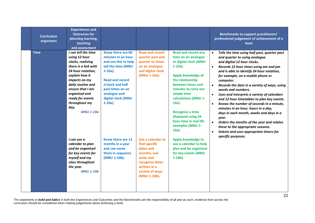| <b>Curriculum</b><br>organisers | <b>Experiences and</b><br><b>Outcomes for</b><br>planning learning,<br>teaching<br>and assessment                                                                                                                                                                    |                                                                                                                                                                                                                           |                                                                                                                                                   |                                                                                                                                                                                                                                                                                                                                               | <b>Benchmarks to support practitioners'</b><br>professional judgement of achievement of a<br>level                                                                                                                                                                                                                                                                                                                                                                                                                                                                                                                                                                                                                                                                       |
|---------------------------------|----------------------------------------------------------------------------------------------------------------------------------------------------------------------------------------------------------------------------------------------------------------------|---------------------------------------------------------------------------------------------------------------------------------------------------------------------------------------------------------------------------|---------------------------------------------------------------------------------------------------------------------------------------------------|-----------------------------------------------------------------------------------------------------------------------------------------------------------------------------------------------------------------------------------------------------------------------------------------------------------------------------------------------|--------------------------------------------------------------------------------------------------------------------------------------------------------------------------------------------------------------------------------------------------------------------------------------------------------------------------------------------------------------------------------------------------------------------------------------------------------------------------------------------------------------------------------------------------------------------------------------------------------------------------------------------------------------------------------------------------------------------------------------------------------------------------|
| <b>Time</b>                     | I can tell the time<br>using 12 hour<br>clocks, realising<br>there is a link with<br>24 hour notation.<br>explain how it<br>impacts on my<br>daily routine and<br>ensure that I am<br>organised and<br>ready for events<br>throughout my<br>day.<br><b>MNU 1-10a</b> | Know there are 60<br>minutes in an hour<br>and use this to help<br>tell the time (MNU<br>$1-10a$ ).<br><b>Read and record</b><br>o'clock and half<br>past times on an<br>analogue and<br>digital clock (MNU<br>$1-10a$ ). | <b>Read and record</b><br>quarter past and<br>quarter to times<br>on an analogue<br>and digital clock<br>(MNU 1-10a).                             | <b>Read and record any</b><br>time on an analogue<br>or digital clock (MNU<br>$1-10a$ ).<br>Apply knowledge of<br>the relationship<br>between hours and<br>minutes to carry out<br>simple time<br>calculations (MNU 1-<br>$10a$ ).<br><b>Recognise a time</b><br>displayed using 24<br>hour time in real life<br>examples (MNU 1-<br>$10a$ ). | Tells the time using half past, quarter past<br>$\bullet$<br>and quarter to using analogue<br>and digital 12 hour clocks.<br>Records 12 hour times using am and pm<br>$\bullet$<br>and is able to identify 24 hour notation,<br>for example, on a mobile phone or<br>computer.<br>Records the date in a variety of ways, using<br>$\bullet$<br>words and numbers.<br>Uses and interprets a variety of calendars<br>and 12 hour timetables to plan key events.<br>Knows the number of seconds in a minute,<br>$\bullet$<br>minutes in an hour, hours in a day,<br>days in each month, weeks and days in a<br>year.<br>Orders the months of the year and relates<br>$\bullet$<br>these to the appropriate seasons.<br>Selects and uses appropriate timers for<br>$\bullet$ |
|                                 | I can use a<br>calendar to plan<br>and be organised<br>for key events for<br>myself and my<br>class throughout<br>the year.<br><b>MNU 1-10b</b>                                                                                                                      | Know there are 12<br>months in a year<br>and can name<br>them in sequence<br>(MNU 1-10b).                                                                                                                                 | Use a calendar to<br>find specific<br>dates and<br>months, and<br>write and<br>recognise dates<br>written in a<br>variety of ways<br>(MNU 1-10b). | <b>Apply knowledge to</b><br>use a calendar to help<br>plan and be organised<br>for key events (MNU<br>$1-10b$ ).                                                                                                                                                                                                                             | specific purposes.                                                                                                                                                                                                                                                                                                                                                                                                                                                                                                                                                                                                                                                                                                                                                       |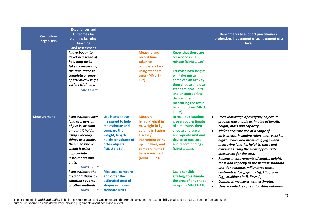| <b>Curriculum</b><br>organisers | <b>Experiences and</b><br><b>Outcomes for</b><br>planning learning,<br>teaching<br>and assessment                                                                                                                                                                                                                                      |                                                                                                                                                                                                                                                          |                                                                                                                                                                                       |                                                                                                                                                                                                                                                                                         | <b>Benchmarks to support practitioners'</b><br>professional judgement of achievement of a<br>level                                                                                                                                                                                                                                                                                                                                                                                                                                                                                                                                                                                  |
|---------------------------------|----------------------------------------------------------------------------------------------------------------------------------------------------------------------------------------------------------------------------------------------------------------------------------------------------------------------------------------|----------------------------------------------------------------------------------------------------------------------------------------------------------------------------------------------------------------------------------------------------------|---------------------------------------------------------------------------------------------------------------------------------------------------------------------------------------|-----------------------------------------------------------------------------------------------------------------------------------------------------------------------------------------------------------------------------------------------------------------------------------------|-------------------------------------------------------------------------------------------------------------------------------------------------------------------------------------------------------------------------------------------------------------------------------------------------------------------------------------------------------------------------------------------------------------------------------------------------------------------------------------------------------------------------------------------------------------------------------------------------------------------------------------------------------------------------------------|
|                                 | I have begun to<br>develop a sense of<br>how long tasks<br>take by measuring<br>the time taken to<br>complete a range<br>of activities using a<br>variety of timers.<br><b>MNU 1-10c</b>                                                                                                                                               |                                                                                                                                                                                                                                                          | <b>Measure and</b><br>record time<br>taken to<br>complete a task<br>using standard<br>units (MNU 1-<br>10c).                                                                          | Know that there are<br>60 seconds in a<br>minute (MNU 1-10c).<br><b>Estimate how long it</b><br>will take me to<br>complete an activity<br>then choose and use<br>standard time units<br>and an appropriate<br>device when<br>measuring the actual<br>length of time (MNU<br>$1-10c$ ). |                                                                                                                                                                                                                                                                                                                                                                                                                                                                                                                                                                                                                                                                                     |
| <b>Measurement</b>              | I can estimate how<br>long or heavy an<br>object is, or what<br>amount it holds,<br>using everyday<br>things as a guide,<br>then measure or<br>weigh it using<br>appropriate<br>instruments and<br>units.<br><b>MNU 1-11a</b><br>I can estimate the<br>area of a shape by<br>counting squares<br>or other methods.<br><b>MNU 1-11b</b> | Use items I have<br>measured to help<br>me estimate and<br>compare the<br>weight, length,<br>height or volume of<br>other objects<br>(MNU 1-11a).<br><b>Measure, compare</b><br>and order the<br>estimated area of<br>shapes using non<br>standard units | <b>Measure</b><br>length/height in<br>m, weight in kg,<br>volume in I using<br>a scale /<br>instrument going<br>up in halves, and<br>compare items I<br>have measured<br>(MNU 1-11a). | In real life situations<br>give a good estimate<br>of a measure, then<br>choose and use an<br>appropriate unit and<br>device to measure<br>and record findings<br>(MNU 1-11a).<br>Use a sensible<br>strategy to estimate<br>the area of any shape<br>in sq cm (MNU 1-11b).              | Uses knowledge of everyday objects to<br>provide reasonable estimates of length,<br>height, mass and capacity.<br>Makes accurate use of a range of<br>instruments including rulers, metre sticks,<br>digital scales and measuring jugs when<br>measuring lengths, heights, mass and<br>capacities using the most appropriate<br>instrument for the task.<br>Records measurements of length, height,<br>$\bullet$<br>mass and capacity to the nearest standard<br>unit, for example, millimetres (mm),<br>centimetres (cm), grams (g), kilograms<br>(kg), millilitres (ml), litres (l).<br>Compares measures with estimates.<br>$\bullet$<br>Uses knowledge of relationships between |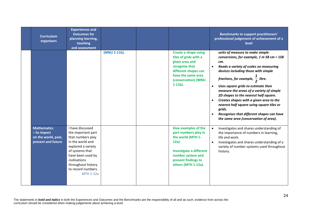| <b>Curriculum</b><br>organisers                                                   | <b>Experiences and</b><br><b>Outcomes for</b><br>planning learning,<br>teaching<br>and assessment                                                                                                                              |              |                                                                                                                                                                                           | <b>Benchmarks to support practitioners'</b><br>professional judgement of achievement of a<br>level                                                                                                                                                                                                                                                                                                                                                                                                                                                                             |
|-----------------------------------------------------------------------------------|--------------------------------------------------------------------------------------------------------------------------------------------------------------------------------------------------------------------------------|--------------|-------------------------------------------------------------------------------------------------------------------------------------------------------------------------------------------|--------------------------------------------------------------------------------------------------------------------------------------------------------------------------------------------------------------------------------------------------------------------------------------------------------------------------------------------------------------------------------------------------------------------------------------------------------------------------------------------------------------------------------------------------------------------------------|
|                                                                                   |                                                                                                                                                                                                                                | (MNU 1-11b). | <b>Create a shape using</b><br>tiles of grids with a<br>given area and<br>recognise that<br>different shapes can<br>have the same area<br>(conservation) (MNU<br>$1-11b$ ).               | units of measure to make simple<br>conversions, for example, 1 m 58 cm = 158<br>cm.<br>Reads a variety of scales on measuring<br>$\bullet$<br>devices including those with simple<br>fractions, for example, $\frac{1}{2}$ litre.<br>Uses square grids to estimate then<br>$\bullet$<br>measure the areas of a variety of simple<br>2D shapes to the nearest half square.<br>Creates shapes with a given area to the<br>nearest half square using square tiles or<br>grids.<br>Recognises that different shapes can have<br>$\bullet$<br>the same area (conservation of area). |
| <b>Mathematics</b><br>$-$ its impact<br>on the world, past,<br>present and future | I have discussed<br>the important part<br>that numbers play<br>in the world and<br>explored a variety<br>of systems that<br>have been used by<br>civilisations<br>throughout history<br>to record numbers.<br><b>MTH 1-12a</b> |              | <b>Give examples of the</b><br>part numbers play in<br>the world (MTH 1-<br>$12a$ ).<br><b>Investigate a different</b><br>number system and<br>present findings to<br>others (MTH 1-12a). | Investigates and shares understanding of<br>$\bullet$<br>the importance of numbers in learning,<br>life and work.<br>Investigates and shares understanding of a<br>$\bullet$<br>variety of number systems used throughout<br>history.                                                                                                                                                                                                                                                                                                                                          |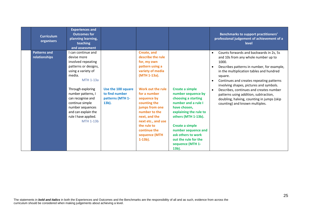| <b>Curriculum</b><br>organisers      | <b>Experiences and</b><br><b>Outcomes for</b><br>planning learning,<br>teaching<br>and assessment                                                                                                                                                                                               |                                                                      |                                                                                                                                                                                                                                                                                                                    |                                                                                                                                                                                                                                                                                     | Benchmarks to support practitioners'<br>professional judgement of achievement of a<br>level                                                                                                                                                                                                                                                                                                                                                                                                                 |
|--------------------------------------|-------------------------------------------------------------------------------------------------------------------------------------------------------------------------------------------------------------------------------------------------------------------------------------------------|----------------------------------------------------------------------|--------------------------------------------------------------------------------------------------------------------------------------------------------------------------------------------------------------------------------------------------------------------------------------------------------------------|-------------------------------------------------------------------------------------------------------------------------------------------------------------------------------------------------------------------------------------------------------------------------------------|-------------------------------------------------------------------------------------------------------------------------------------------------------------------------------------------------------------------------------------------------------------------------------------------------------------------------------------------------------------------------------------------------------------------------------------------------------------------------------------------------------------|
| <b>Patterns and</b><br>relationships | I can continue and<br>devise more<br>involved repeating<br>patterns or designs,<br>using a variety of<br>media.<br>MTH 1-13a<br>Through exploring<br>number patterns, I<br>can recognise and<br>continue simple<br>number sequences<br>and can explain the<br>rule I have applied.<br>MTH 1-13b | Use the 100 square<br>to find number<br>patterns (MTH 1-<br>$13b$ ). | Create, and<br>describe the rule<br>for, my own<br>pattern using a<br>variety of media<br>(MTH 1-13a).<br>Work out the rule<br>for a number<br>sequence by<br>counting the<br>jumps from one<br>number to the<br>next, and the<br>next etc., and use<br>the rule to<br>continue the<br>sequence (MTH<br>$1-13b$ ). | Create a simple<br>number sequence by<br>choosing a starting<br>number and a rule I<br>have chosen,<br>explaining the rule to<br>others (MTH 1-13b).<br><b>Create a simple</b><br>number sequence and<br>ask others to work<br>out the rule for the<br>sequence (MTH 1-<br>$13b$ ). | Counts forwards and backwards in 2s, 5s<br>$\bullet$<br>and 10s from any whole number up to<br>1000.<br>Describes patterns in number, for example,<br>$\bullet$<br>in the multiplication tables and hundred<br>square.<br>Continues and creates repeating patterns<br>$\bullet$<br>involving shapes, pictures and symbols.<br>Describes, continues and creates number<br>$\bullet$<br>patterns using addition, subtraction,<br>doubling, halving, counting in jumps (skip<br>counting) and known multiples. |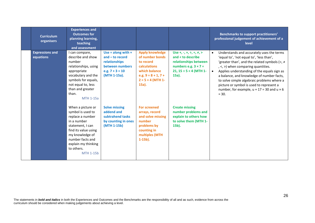| <b>Curriculum</b><br>organisers     | <b>Experiences and</b><br><b>Outcomes for</b><br>planning learning,<br>teaching<br>and assessment                                                                                                                     |                                                                                                                   |                                                                                                                                                         |                                                                                                                                                              | <b>Benchmarks to support practitioners'</b><br>professional judgement of achievement of a<br>level                                                                                                                                                                                                                                                                                                                                                                    |
|-------------------------------------|-----------------------------------------------------------------------------------------------------------------------------------------------------------------------------------------------------------------------|-------------------------------------------------------------------------------------------------------------------|---------------------------------------------------------------------------------------------------------------------------------------------------------|--------------------------------------------------------------------------------------------------------------------------------------------------------------|-----------------------------------------------------------------------------------------------------------------------------------------------------------------------------------------------------------------------------------------------------------------------------------------------------------------------------------------------------------------------------------------------------------------------------------------------------------------------|
| <b>Expressions and</b><br>equations | I can compare,<br>describe and show<br>number<br>relationships, using<br>appropriate<br>vocabulary and the<br>symbols for equals,<br>not equal to, less<br>than and greater<br>than.<br><b>MTH 1-15a</b>              | Use = along with $+$<br>$and -to record$<br>relationships<br>between numbers<br>e.g. $7 + 3 = 10$<br>(MTH 1-15a). | <b>Apply knowledge</b><br>of number bonds<br>to record<br><b>calculations</b><br>which balance<br>e.g. $9 = 8 + 1, 7 +$<br>$2 = 5 + 4$ (MTH 1-<br>15a). | Use +, -, $x, \div, =$ , $\ne$ , $>$<br>and < to describe<br>relationships between<br>numbers e.g. $3 \times 7 =$<br>21, $15 \div 5 < 4$ (MTH 1-<br>$15a$ ). | Understands and accurately uses the terms<br>$\bullet$<br>'equal to', 'not equal to', 'less than',<br>'greater than', and the related symbols (=, $\neq$<br>$,$ <, >) when comparing quantities.<br>Applies understanding of the equals sign as<br>$\bullet$<br>a balance, and knowledge of number facts,<br>to solve simple algebraic problems where a<br>picture or symbol is used to represent a<br>number, for example, $u + 17 = 30$ and $u \times 6$<br>$= 30.$ |
|                                     | When a picture or<br>symbol is used to<br>replace a number<br>in a number<br>statement, I can<br>find its value using<br>my knowledge of<br>number facts and<br>explain my thinking<br>to others.<br><b>MTH 1-15b</b> | <b>Solve missing</b><br>addend and<br>subtrahend tasks<br>by counting in ones<br>(MTH 1-15b)                      | <b>For screened</b><br>arrays, record<br>and solve missing<br>number<br>problems by<br>counting in<br>multiples (MTH<br>$1-15b$ ).                      | <b>Create missing</b><br>number problems and<br>explain to others how<br>to solve them (MTH 1-<br>15b).                                                      |                                                                                                                                                                                                                                                                                                                                                                                                                                                                       |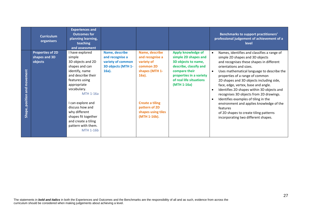|                                              | <b>Curriculum</b><br>organisers                     | <b>Experiences and</b><br><b>Outcomes for</b><br>planning learning,<br>teaching<br>and assessment                                                                                                                                                                                                                             |                                                                                          |                                                                                                                                                                             |                                                                                                                                                                                          | <b>Benchmarks to support practitioners'</b><br>professional judgement of achievement of a<br>level                                                                                                                                                                                                                                                                                                                                                                                                                                                                                                  |
|----------------------------------------------|-----------------------------------------------------|-------------------------------------------------------------------------------------------------------------------------------------------------------------------------------------------------------------------------------------------------------------------------------------------------------------------------------|------------------------------------------------------------------------------------------|-----------------------------------------------------------------------------------------------------------------------------------------------------------------------------|------------------------------------------------------------------------------------------------------------------------------------------------------------------------------------------|-----------------------------------------------------------------------------------------------------------------------------------------------------------------------------------------------------------------------------------------------------------------------------------------------------------------------------------------------------------------------------------------------------------------------------------------------------------------------------------------------------------------------------------------------------------------------------------------------------|
| movement<br>and<br><b>position</b><br>Shape, | <b>Properties of 2D</b><br>shapes and 3D<br>objects | I have explored<br>simple<br>3D objects and 2D<br>shapes and can<br>identify, name<br>and describe their<br>features using<br>appropriate<br>vocabulary.<br><b>MTH 1-16a</b><br>I can explore and<br>discuss how and<br>why different<br>shapes fit together<br>and create a tiling<br>pattern with them.<br><b>MTH 1-16b</b> | Name, describe<br>and recognise a<br>variety of common<br>3D objects (MTH 1-<br>$16a$ ). | Name, describe<br>and recognise a<br>variety of<br>common 2D<br>shapes (MTH 1-<br>$16a$ ).<br><b>Create a tiling</b><br>pattern of 2D<br>shapes using tiles<br>(MTH 1-16b). | <b>Apply knowledge of</b><br>simple 2D shapes and<br>3D objects to name,<br>describe, classify and<br>compare their<br>properties in a variety<br>of real life situations<br>(MTH 1-16a) | Names, identifies and classifies a range of<br>simple 2D shapes and 3D objects<br>and recognises these shapes in different<br>orientations and sizes.<br>Uses mathematical language to describe the<br>properties of a range of common<br>2D shapes and 3D objects including side,<br>face, edge, vertex, base and angle.<br>Identifies 2D shapes within 3D objects and<br>recognises 3D objects from 2D drawings.<br>Identifies examples of tiling in the<br>environment and applies knowledge of the<br>features<br>of 2D shapes to create tiling patterns<br>incorporating two different shapes. |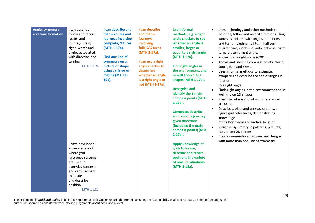| Angle, symmetry    | I can describe,                    | I can describe and                      | I can describe        | <b>Use informal</b>                          | $\bullet$ | Uses technology and other methods to                                           |
|--------------------|------------------------------------|-----------------------------------------|-----------------------|----------------------------------------------|-----------|--------------------------------------------------------------------------------|
| and transformation | follow and record<br>routes and    | follow routes and<br>journeys involving | and follow            | methods, e.g. a right                        |           | describe, follow and record directions using                                   |
|                    |                                    | complete/1/2 turns                      | journeys<br>involving | angle checker, to say<br>whether an angle is |           | words associated with angles, directions                                       |
|                    | journeys using<br>signs, words and | (MTH 1-17a).                            | full/1/2 turns        | smaller, larger or                           |           | and turns including, full turn, half turn,                                     |
|                    | angles associated                  |                                         | (MTH 1-17a).          | equal to a right angle                       |           | quarter turn, clockwise, anticlockwise, right<br>turn, left turn, right angle. |
|                    | with direction and                 | <b>Find one line of</b>                 |                       | (MTH 1-17a).                                 | $\bullet$ | Knows that a right angle is 90°.                                               |
|                    | turning.                           | symmetry on a                           | I can use a right     |                                              | $\bullet$ | Knows and uses the compass points, North,                                      |
|                    | MTH 1-17a                          | picture or shape                        | angle checker to      | Find right angles in                         |           | South, East and West.                                                          |
|                    |                                    | using a mirror or                       | determine             | the environment, and                         | $\bullet$ | Uses informal methods to estimate,                                             |
|                    |                                    | folding (MTH 1-                         | whether an angle      | in well known 2-D                            |           | compare and describe the size of angles in                                     |
|                    |                                    | 19a).                                   | is a right angle or   | shapes (MTH 1-17a).                          |           | relation                                                                       |
|                    |                                    |                                         | not (MTH 1-17a).      |                                              |           | to a right angle.                                                              |
|                    |                                    |                                         |                       | <b>Recognise and</b>                         |           | Finds right angles in the environment and in                                   |
|                    |                                    |                                         |                       | identify the 8 main                          |           | well-known 2D shapes.                                                          |
|                    |                                    |                                         |                       | compass points (MTH                          | $\bullet$ | Identifies where and why grid references                                       |
|                    |                                    |                                         |                       | $1-17a$ ).                                   |           | are used.                                                                      |
|                    |                                    |                                         |                       |                                              | $\bullet$ | Describes, plots and uses accurate two                                         |
|                    |                                    |                                         |                       | <b>Complete, describe</b>                    |           | figure grid references, demonstrating                                          |
|                    |                                    |                                         |                       | and record a journey                         |           | knowledge                                                                      |
|                    |                                    |                                         |                       | given directions                             |           | of the horizontal and vertical location.                                       |
|                    |                                    |                                         |                       | (including the main                          | $\bullet$ | Identifies symmetry in patterns, pictures,                                     |
|                    |                                    |                                         |                       | compass points) (MTH                         |           | nature and 2D shapes.                                                          |
|                    |                                    |                                         |                       | $1-17a$ ).                                   | $\bullet$ | Creates symmetrical pictures and designs                                       |
|                    | I have developed                   |                                         |                       | <b>Apply knowledge of</b>                    |           | with more than one line of symmetry.                                           |
|                    | an awareness of                    |                                         |                       | grids to locate,                             |           |                                                                                |
|                    | where grid                         |                                         |                       | describe and record                          |           |                                                                                |
|                    | reference systems                  |                                         |                       | positions in a variety                       |           |                                                                                |
|                    | are used in                        |                                         |                       | of real life situations                      |           |                                                                                |
|                    | everyday contexts                  |                                         |                       | (MTH 1-18a).                                 |           |                                                                                |
|                    | and can use them                   |                                         |                       |                                              |           |                                                                                |
|                    | to locate                          |                                         |                       |                                              |           |                                                                                |
|                    | and describe                       |                                         |                       |                                              |           |                                                                                |
|                    | position.                          |                                         |                       |                                              |           |                                                                                |
|                    | <b>MTH 1-18a</b>                   |                                         |                       |                                              |           |                                                                                |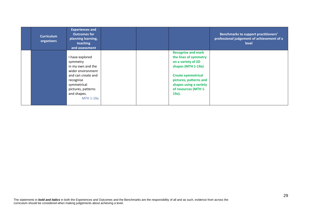| <b>Curriculum</b><br>organisers | <b>Experiences and</b><br><b>Outcomes for</b><br>planning learning,<br>teaching<br>and assessment |  |                           | <b>Benchmarks to support practitioners'</b><br>professional judgement of achievement of a<br><b>level</b> |
|---------------------------------|---------------------------------------------------------------------------------------------------|--|---------------------------|-----------------------------------------------------------------------------------------------------------|
|                                 |                                                                                                   |  | <b>Recognise and mark</b> |                                                                                                           |
|                                 | I have explored                                                                                   |  | the lines of symmetry     |                                                                                                           |
|                                 | symmetry                                                                                          |  | on a variety of 2D        |                                                                                                           |
|                                 | in my own and the                                                                                 |  | shapes (MTH 1-19a)        |                                                                                                           |
|                                 | wider environment                                                                                 |  |                           |                                                                                                           |
|                                 | and can create and                                                                                |  | <b>Create symmetrical</b> |                                                                                                           |
|                                 | recognise                                                                                         |  | pictures, patterns and    |                                                                                                           |
|                                 | symmetrical                                                                                       |  | shapes using a variety    |                                                                                                           |
|                                 | pictures, patterns                                                                                |  | of resources (MTH 1-      |                                                                                                           |
|                                 | and shapes.                                                                                       |  | 19a).                     |                                                                                                           |
|                                 | <b>MTH 1-19a</b>                                                                                  |  |                           |                                                                                                           |
|                                 |                                                                                                   |  |                           |                                                                                                           |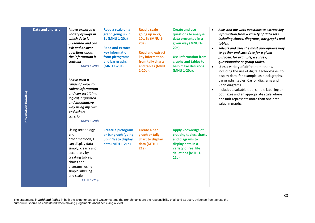| Data and analysis<br>Information handling | I have explored a<br>variety of ways in<br>which data is<br>presented and can<br>ask and answer<br>questions about<br>the information it<br>contains.<br><b>MNU 1-20a</b><br>I have used a<br>range of ways to<br>collect information<br>and can sort it in a<br>logical, organised<br>and imaginative<br>way using my own<br>and others'<br>criteria.<br><b>MNU 1-20b</b> | Read a scale on a<br>graph going up in<br>1s (MNU 1-20a)<br><b>Read and extract</b><br>key information<br>from pictograms<br>and bar graphs<br>(MNU 1-20a) | <b>Read a scale</b><br>going up in 2s,<br>10s, 5s (MNU 1-<br>20a).<br><b>Read and extract</b><br>key information<br>from tally charts<br>and tables (MNU<br>$1-20a$ ). | <b>Create and use</b><br>questions to analyse<br>data presented in a<br>given way (MNU 1-<br>20a).<br><b>Use information from</b><br>graphs and tables to<br>help make decisions<br>(MNU 1-20a). | Asks and answers questions to extract key<br>$\bullet$<br>information from a variety of data sets<br>including charts, diagrams, bar graphs and<br>tables.<br>Selects and uses the most appropriate way<br>$\bullet$<br>to gather and sort data for a given<br>purpose, for example, a survey,<br>questionnaire or group tallies.<br>Uses a variety of different methods,<br>$\bullet$<br>including the use of digital technologies, to<br>display data, for example, as block graphs,<br>bar graphs, tables, Carroll diagrams and<br>Venn diagrams.<br>Includes a suitable title, simple labelling on<br>both axes and an appropriate scale where<br>one unit represents more than one data<br>value in graphs. |
|-------------------------------------------|----------------------------------------------------------------------------------------------------------------------------------------------------------------------------------------------------------------------------------------------------------------------------------------------------------------------------------------------------------------------------|------------------------------------------------------------------------------------------------------------------------------------------------------------|------------------------------------------------------------------------------------------------------------------------------------------------------------------------|--------------------------------------------------------------------------------------------------------------------------------------------------------------------------------------------------|------------------------------------------------------------------------------------------------------------------------------------------------------------------------------------------------------------------------------------------------------------------------------------------------------------------------------------------------------------------------------------------------------------------------------------------------------------------------------------------------------------------------------------------------------------------------------------------------------------------------------------------------------------------------------------------------------------------|
|                                           | Using technology<br>and<br>other methods, I<br>can display data<br>simply, clearly and<br>accurately by<br>creating tables,<br>charts and<br>diagrams, using<br>simple labelling<br>and scale.<br><b>MTH 1-21a</b>                                                                                                                                                         | Create a pictogram<br>or bar graph (going<br>up in 1s) to display<br>data (MTH 1-21a)                                                                      | Create a bar<br>graph or tally<br>chart to display<br>data (MTH 1-<br>$21a$ ).                                                                                         | Apply knowledge of<br>creating tables, charts<br>and diagrams to<br>display data in a<br>variety of real life<br>situations (MTH 1-<br>$21a$ ).                                                  |                                                                                                                                                                                                                                                                                                                                                                                                                                                                                                                                                                                                                                                                                                                  |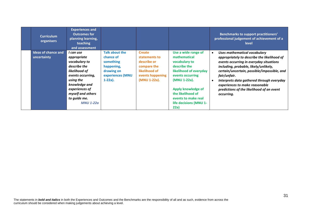| <b>Curriculum</b><br>organisers           | <b>Experiences and</b><br><b>Outcomes for</b><br>planning learning,<br>teaching<br>and assessment                                                                                                        |                                                                                                        |                                                                                                                   |                                                                                                                                                                                                                                        | <b>Benchmarks to support practitioners'</b><br>professional judgement of achievement of a<br>level                                                                                                                                                                                                                                                                       |
|-------------------------------------------|----------------------------------------------------------------------------------------------------------------------------------------------------------------------------------------------------------|--------------------------------------------------------------------------------------------------------|-------------------------------------------------------------------------------------------------------------------|----------------------------------------------------------------------------------------------------------------------------------------------------------------------------------------------------------------------------------------|--------------------------------------------------------------------------------------------------------------------------------------------------------------------------------------------------------------------------------------------------------------------------------------------------------------------------------------------------------------------------|
| <b>Ideas of chance and</b><br>uncertainty | I can use<br>appropriate<br>vocabulary to<br>describe the<br>likelihood of<br>events occurring,<br>using the<br>knowledge and<br>experiences of<br>myself and others<br>to quide me.<br><b>MNU 1-22a</b> | Talk about the<br>chance of<br>something<br>happening,<br>drawing on<br>experiences (MNU<br>$1-22a$ ). | <b>Create</b><br>statements to<br>describe or<br>compare the<br>likelihood of<br>events happening<br>(MNU 1-22a). | Use a wide range of<br>mathematical<br>vocabulary to<br>describe the<br>likelihood of everyday<br>events occurring<br>(MNU 1-22a).<br>Apply knowledge of<br>the likelihood of<br>events to make real<br>life decisions (MNU 1-<br>22a) | Uses mathematical vocabulary<br>appropriately to describe the likelihood of<br>events occurring in everyday situations<br>including, probable, likely/unlikely,<br>certain/uncertain, possible/impossible, and<br>fair/unfair.<br>Interprets data gathered through everyday<br>experiences to make reasonable<br>predictions of the likelihood of an event<br>occurring. |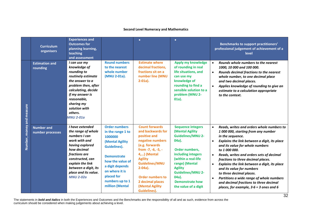### **Second Level Numeracy and Mathematics**

|                           | <b>Curriculum</b><br>organisers       | <b>Experiences and</b><br><b>Outcomes for</b><br>planning learning,<br>teaching<br>and assessment                                                                                                                                      |                                                                                                                                                                                                                                   | $\bullet$                                                                                                                                                                                                                                                                               | $\bullet$                                                                                                                                                                                                                                                                  | <b>Benchmarks to support practitioners'</b><br>professional judgement of achievement of a<br>level                                                                                                                                                                                                                                                                                                                                                                                                                                                                                         |
|---------------------------|---------------------------------------|----------------------------------------------------------------------------------------------------------------------------------------------------------------------------------------------------------------------------------------|-----------------------------------------------------------------------------------------------------------------------------------------------------------------------------------------------------------------------------------|-----------------------------------------------------------------------------------------------------------------------------------------------------------------------------------------------------------------------------------------------------------------------------------------|----------------------------------------------------------------------------------------------------------------------------------------------------------------------------------------------------------------------------------------------------------------------------|--------------------------------------------------------------------------------------------------------------------------------------------------------------------------------------------------------------------------------------------------------------------------------------------------------------------------------------------------------------------------------------------------------------------------------------------------------------------------------------------------------------------------------------------------------------------------------------------|
|                           | <b>Estimation and</b><br>rounding     | I can use my<br>knowledge of<br>rounding to<br>routinely estimate<br>the answer to a<br>problem then, after<br>calculating, decide<br>if my answer is<br>reasonable,<br>sharing my<br>solution with<br>others.<br><b>MNU 2-01a</b>     | <b>Round numbers</b><br>to the nearest<br>whole number<br>(MNU 2-01a).                                                                                                                                                            | <b>Estimate where</b><br>decimal fractions,<br>fractions sit on a<br>number line (MNU<br>$2-01a$ ).                                                                                                                                                                                     | Apply my knowledge<br>of rounding in real<br>life situations, and<br>can use my<br>knowledge of<br>rounding to find a<br>sensible solution to a<br>problem (MNU 2-<br>$01a$ ).                                                                                             | Rounds whole numbers to the nearest<br>1000, 10 000 and 100 000.<br>Rounds decimal fractions to the nearest<br>$\bullet$<br>whole number, to one decimal place<br>and two decimal places.<br>Applies knowledge of rounding to give an<br>$\bullet$<br>estimate to a calculation appropriate<br>to the context.                                                                                                                                                                                                                                                                             |
| Number, money and measure | <b>Number and</b><br>number processes | I have extended<br>the range of whole<br>numbers I can<br>work with and<br>having explored<br>how decimal<br>fractions are<br>constructed, can<br>explain the link<br>between a digit, its<br>place and its value.<br><b>MNU 2-02a</b> | <b>Order numbers</b><br>in the range 1 to<br>1000000<br>(Mental Agility<br><b>Guidelines).</b><br><b>Demonstrate</b><br>how the value of<br>a digit depends<br>on where it is<br>placed for<br>numbers up to 1<br>million (Mental | <b>Count forwards</b><br>and backwards for<br>positive and<br>negative numbers<br>(e.g. forwards<br>from -7, -6, -5, -<br>4,) (Mental<br><b>Agility</b><br><b>Guidelines/MNU</b><br>$2-04a$ ).<br><b>Order numbers to</b><br>2 decimal places<br>(Mental Agility<br><b>Guidelines).</b> | <b>Sequence integers</b><br>(Mental Agility<br><b>Guidelines/MNU 2-</b><br>04a).<br>Order numbers,<br>including integers<br>(within a real-life<br>range) (Mental<br><b>Agility</b><br><b>Guidelines/MNU 2-</b><br>04a).<br><b>Demonstrate how</b><br>the value of a digit | Reads, writes and orders whole numbers to<br>1 000 000, starting from any number<br>in the sequence.<br>Explains the link between a digit, its place<br>$\bullet$<br>and its value for whole numbers<br>to 1 000 000.<br>Reads, writes and orders sets of decimal<br>$\bullet$<br>fractions to three decimal places.<br>Explains the link between a digit, its place<br>$\bullet$<br>and its value for numbers<br>to three decimal places.<br>Partitions a wide range of whole numbers<br>$\bullet$<br>and decimal fractions to three decimal<br>places, for example, $3.6 = 3$ ones and 6 |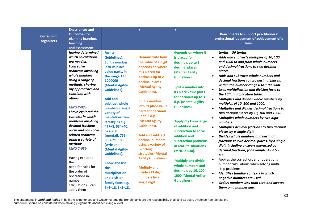| <b>Curriculum</b><br>organisers | <b>Experiences and</b><br><b>Outcomes for</b><br>planning learning,<br>teaching<br>and assessment                                                                                                                                                                                                                                                                                                                                                                                                                                                         |                                                                                                                                                                                                                                                                                                                                                                                                                                                                                                     | $\bullet$                                                                                                                                                                                                                                                                                                                                                                                                                                                                                                                | $\bullet$                                                                                                                                                                                                                                                                                                                                                                                                                                                                                                          | <b>Benchmarks to support practitioners'</b><br>professional judgement of achievement of a<br>level                                                                                                                                                                                                                                                                                                                                                                                                                                                                                                                                                                                                                                                                                                                                                                                                                                                                                                                                                                                                                                                                                                                                                                                         |
|---------------------------------|-----------------------------------------------------------------------------------------------------------------------------------------------------------------------------------------------------------------------------------------------------------------------------------------------------------------------------------------------------------------------------------------------------------------------------------------------------------------------------------------------------------------------------------------------------------|-----------------------------------------------------------------------------------------------------------------------------------------------------------------------------------------------------------------------------------------------------------------------------------------------------------------------------------------------------------------------------------------------------------------------------------------------------------------------------------------------------|--------------------------------------------------------------------------------------------------------------------------------------------------------------------------------------------------------------------------------------------------------------------------------------------------------------------------------------------------------------------------------------------------------------------------------------------------------------------------------------------------------------------------|--------------------------------------------------------------------------------------------------------------------------------------------------------------------------------------------------------------------------------------------------------------------------------------------------------------------------------------------------------------------------------------------------------------------------------------------------------------------------------------------------------------------|--------------------------------------------------------------------------------------------------------------------------------------------------------------------------------------------------------------------------------------------------------------------------------------------------------------------------------------------------------------------------------------------------------------------------------------------------------------------------------------------------------------------------------------------------------------------------------------------------------------------------------------------------------------------------------------------------------------------------------------------------------------------------------------------------------------------------------------------------------------------------------------------------------------------------------------------------------------------------------------------------------------------------------------------------------------------------------------------------------------------------------------------------------------------------------------------------------------------------------------------------------------------------------------------|
|                                 | <b>Having determined</b><br>which calculations<br>are needed,<br>I can solve<br>problems involving<br>whole numbers<br>using a range of<br>methods, sharing<br>my approaches and<br>solutions with<br>others.<br><b>MNU 2-03a</b><br>I have explored the<br>contexts in which<br>problems involving<br>decimal fractions<br>occur and can solve<br>related problems<br>using a variety of<br>methods.<br><b>MNU 2-03b</b><br>Having explored<br>the<br>need for rules for<br>the order of<br>operations in<br>number<br>calculations, I can<br>apply them | <b>Agility</b><br><b>Guidelines).</b><br>Split a number<br>into its place<br>value parts, in<br>the range 1 to<br>1000000<br>(Mental Agility<br><b>Guidelines).</b><br><b>Add and</b><br>subtract whole<br>numbers using a<br>variety of<br>mental/written<br>strategies e.g.<br>477+8, 534+40,<br>624-200<br>(mental), 751-<br>36, 621+185<br>(written)<br>(Mental Agility<br>Guidelines).<br><b>Know and use</b><br>the<br>multiplication<br>and division<br>family facts e.g.<br>3x6=18, 6x3=18, | <b>Demonstrate how</b><br>the value of a digit<br>depends on where<br>it is placed for<br>decimals up to 2<br>decimal places<br>(Mental Agility<br><b>Guidelines).</b><br><b>Split a number</b><br>into its place value<br>parts for decimals<br>up to 2 d.p.<br>(Mental Agility<br><b>Guidelines).</b><br><b>Add and subtract</b><br>decimal numbers<br>using a variety of<br>(written)<br>strategies (Mental<br><b>Agility Guidelines).</b><br><b>Multiply and</b><br>divide 2/3 digit<br>numbers by a<br>single digit | depends on where it<br>is placed for<br>decimals up to 3<br>decimal places<br>(Mental Agility<br><b>Guidelines).</b><br>Split a number into<br>its place value parts<br>for decimals up to 3<br>d.p. (Mental Agility<br><b>Guidelines).</b><br>Apply my knowledge<br>of addition and<br>subtraction to solve<br>addition and<br>subtraction problems<br>in real life situations<br>(MNU 2-03a).<br><b>Multiply and divide</b><br>whole numbers and<br>decimals by 10, 100,<br>1000 (Mental Agility<br>Guidelines). | $tenths = 36$ tenths.<br>Adds and subtracts multiples of 10, 100<br>$\bullet$<br>and 1000 to and from whole numbers<br>and decimal fractions to two decimal<br>places.<br>Adds and subtracts whole numbers and<br>$\bullet$<br>decimal fractions to two decimal places,<br>within the number range 0 to 1 000 000.<br>Uses multiplication and division facts to<br>$\bullet$<br>the 10 <sup>th</sup> multiplication table.<br>Multiplies and divides whole numbers by<br>$\bullet$<br>multiples of 10, 100 and 1000.<br>Multiplies and divides decimal fractions to<br>$\bullet$<br>two decimal places by 10, 100 and 1000.<br>Multiplies whole numbers by two digit<br>$\bullet$<br>numbers.<br>Multiplies decimal fractions to two decimal<br>$\bullet$<br>places by a single digit.<br>$\bullet$<br>Divides whole numbers and decimal<br>fractions to two decimal places, by a single<br>digit, including answers expressed as<br>decimal fractions, for example, $43 \div 5 =$<br>8.6.<br>Applies the correct order of operations in<br>$\bullet$<br>number calculations when solving multi-<br>step problems.<br>Identifies familiar contexts in which<br>$\bullet$<br>negative numbers are used.<br>Orders numbers less than zero and locates<br>$\bullet$<br>them on a number line. |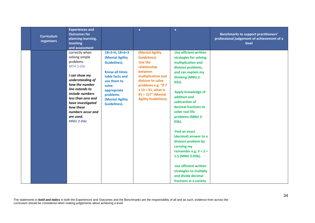| <b>Curriculum</b><br>organisers | <b>Experiences and</b><br><b>Outcomes for</b><br>planning learning,<br>teaching<br>and assessment                                                                                                                                                                            |                                                                                                                                                                                                                      | $\bullet$                                                                                                                                                                                                                  | $\bullet$                                                                                                                                                                                                                                                                                                                                                                                                                                                                                                                                    | <b>Benchmarks to support practitioners'</b><br>professional judgement of achievement of a<br>level |
|---------------------------------|------------------------------------------------------------------------------------------------------------------------------------------------------------------------------------------------------------------------------------------------------------------------------|----------------------------------------------------------------------------------------------------------------------------------------------------------------------------------------------------------------------|----------------------------------------------------------------------------------------------------------------------------------------------------------------------------------------------------------------------------|----------------------------------------------------------------------------------------------------------------------------------------------------------------------------------------------------------------------------------------------------------------------------------------------------------------------------------------------------------------------------------------------------------------------------------------------------------------------------------------------------------------------------------------------|----------------------------------------------------------------------------------------------------|
|                                 | correctly when<br>solving simple<br>problems.<br><b>MTH 2-03c</b><br>I can show my<br>understanding of<br>how the number<br>line extends to<br>include numbers<br>less than zero and<br>have investigated<br>how these<br>numbers occur and<br>are used.<br><b>MNU 2-04a</b> | $18 \div 3 = 6$ , $18 \div 6 = 3$<br>(Mental Agility<br><b>Guidelines).</b><br><b>Know all times</b><br>table facts and<br>use them to<br>solve<br>appropriate<br>problems<br>(Mental Agility<br><b>Guidelines).</b> | (Mental Agility<br>Guidelines).<br>Use the<br>relationship<br>between<br>multiplication and<br>division to solve<br>problems e.g. "If 7<br>$x 13 = 91$ , what is<br>$91 \div 13$ ?" (Mental<br><b>Agility Guidelines).</b> | <b>Use efficient written</b><br>strategies for solving<br>multiplication and<br>division problems,<br>and can explain my<br>thinking (MNU 2-<br>03a).<br>Apply knowledge of<br>addition and<br>subtraction of<br>decimal fractions to<br>solve real life<br>problems (MNU 2-<br>$03b$ ).<br><b>Find an exact</b><br>(decimal) answer to a<br>division problem by<br>carrying my<br>remainder e.g. $3 \div 2 =$<br>1.5 (MNU 2-03b).<br><b>Use efficient written</b><br>strategies to multiply<br>and divide decimal<br>fractions in a variety |                                                                                                    |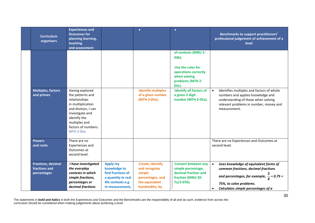| <b>Curriculum</b><br>organisers                           | <b>Experiences and</b><br><b>Outcomes for</b><br>planning learning,<br>teaching<br>and assessment                                                                                               |                                                                                                                     | $\bullet$                                                                                                  | $\bullet$                                                                                                                                                                                             | <b>Benchmarks to support practitioners'</b><br>professional judgement of achievement of a<br>level                                                                                                                 |
|-----------------------------------------------------------|-------------------------------------------------------------------------------------------------------------------------------------------------------------------------------------------------|---------------------------------------------------------------------------------------------------------------------|------------------------------------------------------------------------------------------------------------|-------------------------------------------------------------------------------------------------------------------------------------------------------------------------------------------------------|--------------------------------------------------------------------------------------------------------------------------------------------------------------------------------------------------------------------|
| <b>Multiples, factors</b><br>and primes                   | Having explored<br>the patterns and<br>relationships<br>in multiplication<br>and division, I can<br>investigate and<br>identify the<br>multiples and<br>factors of numbers.<br><b>MTH 2-05a</b> |                                                                                                                     | <b>Identify multiples</b><br>of a given number<br>(MTH 2-05a).                                             | of contexts (MNU 2-<br>$03b$ ).<br>Use the rules for<br>operations correctly<br>when solving<br>problems (MTH 2-<br>03c).<br><b>Identify all factors of</b><br>a given 2 digit<br>number (MTH 2-05a). | Identifies multiples and factors of whole<br>$\bullet$<br>numbers and applies knowledge and<br>understanding of these when solving<br>relevant problems in number, money and<br>measurement.                       |
| <b>Powers</b><br>and roots                                | There are no<br>Experiences and<br>Outcomes at<br>second level.                                                                                                                                 |                                                                                                                     |                                                                                                            |                                                                                                                                                                                                       | There are no Experiences and Outcomes at<br>second level.                                                                                                                                                          |
| <b>Fractions, decimal</b><br>fractions and<br>percentages | I have investigated<br>the everyday<br>contexts in which<br>simple fractions,<br>percentages or<br>decimal fractions                                                                            | <b>Apply my</b><br>knowledge to<br>find fractions of<br>a quantity in real<br>life contexts e.g.<br>in measurement, | <b>Create, identify</b><br>and recognise<br>simple<br>percentages, and<br>the equivalent<br>hundredths, by | <b>Convert between any</b><br>simple percentage,<br>decimal fraction and<br>fraction (MNU 20-<br>7a/2-07b).                                                                                           | $\bullet$<br>Uses knowledge of equivalent forms of<br>common fractions, decimal fractions<br>and percentages, for example, $\frac{3}{4}$ = 0.75 =<br>75%, to solve problems.<br>Calculates simple percentages of a |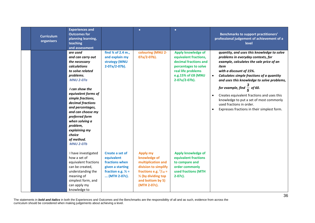| <b>Curriculum</b><br>organisers | <b>Experiences and</b><br><b>Outcomes for</b><br>planning learning,<br>teaching<br>and assessment                                                                                                                                                                                                                                        |                                                                                                                      | $\bullet$                                                                                                                                                            | $\bullet$                                                                                                                                                 | <b>Benchmarks to support practitioners'</b><br>professional judgement of achievement of a<br>level                                                                                                                                                                                                                                                                                                                                                                                    |
|---------------------------------|------------------------------------------------------------------------------------------------------------------------------------------------------------------------------------------------------------------------------------------------------------------------------------------------------------------------------------------|----------------------------------------------------------------------------------------------------------------------|----------------------------------------------------------------------------------------------------------------------------------------------------------------------|-----------------------------------------------------------------------------------------------------------------------------------------------------------|---------------------------------------------------------------------------------------------------------------------------------------------------------------------------------------------------------------------------------------------------------------------------------------------------------------------------------------------------------------------------------------------------------------------------------------------------------------------------------------|
|                                 | are used<br>and can carry out<br>the necessary<br>calculations<br>to solve related<br>problems.<br><b>MNU 2-07a</b><br>I can show the<br>equivalent forms of<br>simple fractions,<br>decimal fractions<br>and percentages,<br>and can choose my<br>preferred form<br>when solving a<br>problem,<br>explaining my<br>choice<br>of method. | find 3⁄4 of 2.4 m.,<br>and explain my<br>strategy (MNU<br>2-07a/2-07b).                                              | colouring (MNU 2-<br>07a/2-07b).                                                                                                                                     | Apply knowledge of<br>equivalent fractions,<br>decimal fractions and<br>percentages to solve<br>real life problems<br>e.g.15% of £8 (MNU<br>2-07a/2-07b). | quantity, and uses this knowledge to solve<br>problems in everyday contexts, for<br>example, calculates the sale price of an<br>item<br>with a discount of 15%.<br>Calculates simple fractions of a quantity<br>$\bullet$<br>and uses this knowledge to solve problems,<br>for example, find $\frac{3}{5}$ of 60.<br>Creates equivalent fractions and uses this<br>knowledge to put a set of most commonly<br>used fractions in order.<br>Expresses fractions in their simplest form. |
|                                 | <b>MNU 2-07b</b><br>I have investigated<br>how a set of<br>equivalent fractions<br>can be created,<br>understanding the<br>meaning of<br>simplest form, and<br>can apply my<br>knowledge to                                                                                                                                              | Create a set of<br>equivalent<br>fractions when<br>given a starting<br>fraction e.g. $\frac{1}{3}$ =<br>(MTH 2-07c). | <b>Apply my</b><br>knowledge of<br>multiplication and<br>division to simplify<br>fractions e.g. $5/10 =$<br>1/2 (by dividing top<br>and bottom by 5)<br>(MTH 2-07c). | Apply knowledge of<br>equivalent fractions<br>to compare and<br>order commonly<br>used fractions (MTH<br>$2-07c$ ).                                       |                                                                                                                                                                                                                                                                                                                                                                                                                                                                                       |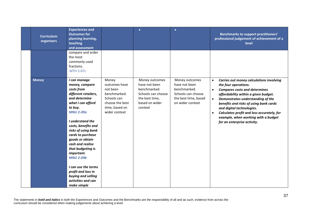| <b>Curriculum</b><br>organisers | <b>Experiences and</b><br><b>Outcomes for</b><br>planning learning,<br>teaching<br>and assessment                                                                                                                                                                                                                                                                                                                                      |                                                                                                                         | $\bullet$                                                                                                            | $\bullet$                                                                                                         | <b>Benchmarks to support practitioners'</b><br>professional judgement of achievement of a<br>level                                                                                                                                                                                                                                                                                                                      |
|---------------------------------|----------------------------------------------------------------------------------------------------------------------------------------------------------------------------------------------------------------------------------------------------------------------------------------------------------------------------------------------------------------------------------------------------------------------------------------|-------------------------------------------------------------------------------------------------------------------------|----------------------------------------------------------------------------------------------------------------------|-------------------------------------------------------------------------------------------------------------------|-------------------------------------------------------------------------------------------------------------------------------------------------------------------------------------------------------------------------------------------------------------------------------------------------------------------------------------------------------------------------------------------------------------------------|
|                                 | compare and order<br>the most<br>commonly used<br>fractions.<br><b>MTH 2-07c</b>                                                                                                                                                                                                                                                                                                                                                       |                                                                                                                         |                                                                                                                      |                                                                                                                   |                                                                                                                                                                                                                                                                                                                                                                                                                         |
| <b>Money</b>                    | I can manage<br>money, compare<br>costs from<br>different retailers,<br>and determine<br>what I can afford<br>to buy.<br><b>MNU 2-09a</b><br>I understand the<br>costs, benefits and<br>risks of using bank<br>cards to purchase<br>goods or obtain<br>cash and realise<br>that budgeting is<br>important.<br><b>MNU 2-09b</b><br>I can use the terms<br>profit and loss in<br>buying and selling<br>activities and can<br>make simple | Money<br>outcomes have<br>not been<br>benchmarked.<br>Schools can<br>choose the best<br>time, based on<br>wider context | Money outcomes<br>have not been<br>benchmarked.<br>Schools can choose<br>the best time,<br>based on wider<br>context | Money outcomes<br>have not been<br>benchmarked.<br>Schools can choose<br>the best time, based<br>on wider context | Carries out money calculations involving<br>the four operations.<br><b>Compares costs and determines</b><br>$\bullet$<br>affordability within a given budget.<br>Demonstrates understanding of the<br>$\bullet$<br>benefits and risks of using bank cards<br>and digital technologies.<br>Calculates profit and loss accurately, for<br>$\bullet$<br>example, when working with a budget<br>for an enterprise activity. |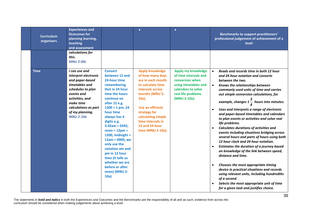| <b>Curriculum</b><br>organisers | <b>Experiences and</b><br><b>Outcomes for</b><br>planning learning,<br>teaching<br>and assessment                                                                                                                                                             |                                                                                                                                                                                                                                                                                                                              | $\bullet$                                                                                                                                                                                                                                                           | $\bullet$                                                                                                                                          | <b>Benchmarks to support practitioners'</b><br>professional judgement of achievement of a<br>level                                                                                                                                                                                                                                                                                                                                                                                                                                                                                                                                                                                                                               |
|---------------------------------|---------------------------------------------------------------------------------------------------------------------------------------------------------------------------------------------------------------------------------------------------------------|------------------------------------------------------------------------------------------------------------------------------------------------------------------------------------------------------------------------------------------------------------------------------------------------------------------------------|---------------------------------------------------------------------------------------------------------------------------------------------------------------------------------------------------------------------------------------------------------------------|----------------------------------------------------------------------------------------------------------------------------------------------------|----------------------------------------------------------------------------------------------------------------------------------------------------------------------------------------------------------------------------------------------------------------------------------------------------------------------------------------------------------------------------------------------------------------------------------------------------------------------------------------------------------------------------------------------------------------------------------------------------------------------------------------------------------------------------------------------------------------------------------|
| <b>Time</b>                     | calculations for<br>this.<br><b>MNU 2-09c</b><br>I can use and<br>interpret electronic<br>and paper-based<br>timetables and<br>schedules to plan<br>events and<br>activities, and<br>make time<br>calculations as part<br>of my planning.<br><b>MNU 2-10a</b> | <b>Convert</b><br>between 12 and<br>24-hour time<br>remembering<br>that in 24 hour<br>time the hours<br>continue on<br>after 12 e.g.<br>$1300 = 1$ pm, 24<br>hour time<br>always has 4<br>digits e.g.<br>$3.42$ am = 0342,<br>$noon = 12pm =$<br>1200, midnight $=$<br>$12am = 0000$ , we<br>only use the<br>notation am and | <b>Apply knowledge</b><br>of how many days<br>are in each month<br>to calculate time<br>intervals across<br>months (MNU 2-<br>$10a$ ).<br><b>Use an efficient</b><br>strategy for<br>calculating simple<br>time intervals in<br>12 and 24 hour<br>time (MNU 2-10a). | Apply my knowledge<br>of time intervals and<br>conversion when<br>using timetables and<br>calendars to solve<br>real life problems<br>(MNU 2-10a). | Reads and records time in both 12 hour<br>$\bullet$<br>and 24 hour notation and converts<br>between the two.<br>Knows the relationships between<br>$\bullet$<br>commonly used units of time and carries<br>out simple conversion calculations, for<br>example, changes $1\frac{3}{4}$ hours into minutes.<br>Uses and interprets a range of electronic<br>$\bullet$<br>and paper-based timetables and calendars<br>to plan events or activities and solve real<br>life problems.<br><b>Calculates durations of activities and</b><br>events including situations bridging across<br>several hours and parts of hours using both<br>12 hour clock and 24 hour notation.<br>Estimates the duration of a journey based<br>$\bullet$ |
|                                 |                                                                                                                                                                                                                                                               | pm in 12 hour<br>time (it tells us<br>whether we are<br>before or after<br>noon) (MNU 2-<br>$10a$ ).                                                                                                                                                                                                                         |                                                                                                                                                                                                                                                                     |                                                                                                                                                    | on knowledge of the link between speed,<br>distance and time.<br>Chooses the most appropriate timing<br>$\bullet$<br>device in practical situations and records<br>using relevant units, including hundredths<br>of a second.<br>Selects the most appropriate unit of time<br>for a given task and justifies choice.                                                                                                                                                                                                                                                                                                                                                                                                             |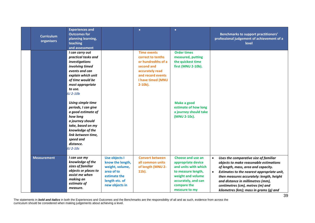| <b>Curriculum</b><br>organisers | <b>Experiences and</b><br><b>Outcomes for</b><br>planning learning,<br>teaching<br>and assessment                                                                                                          |                                                                                                                               | $\bullet$                                                                                                                                              | $\bullet$                                                                                                                                                         | <b>Benchmarks to support practitioners'</b><br>professional judgement of achievement of a<br>level                                                                                                                                                                                                                                                            |
|---------------------------------|------------------------------------------------------------------------------------------------------------------------------------------------------------------------------------------------------------|-------------------------------------------------------------------------------------------------------------------------------|--------------------------------------------------------------------------------------------------------------------------------------------------------|-------------------------------------------------------------------------------------------------------------------------------------------------------------------|---------------------------------------------------------------------------------------------------------------------------------------------------------------------------------------------------------------------------------------------------------------------------------------------------------------------------------------------------------------|
|                                 | I can carry out<br>practical tasks and<br>investigations<br>involving timed<br>events and can<br>explain which unit<br>of time would be<br>most appropriate<br>to use.<br><b>IU 2-10b</b>                  |                                                                                                                               | <b>Time events</b><br>correct to tenths<br>or hundredths of a<br>second and<br>accurately read<br>and record events<br>I have timed (MNU<br>$2-10b$ ). | <b>Order times</b><br>measured, putting<br>the quickest time<br>first (MNU 2-10b).                                                                                |                                                                                                                                                                                                                                                                                                                                                               |
|                                 | Using simple time<br>periods, I can give<br>a good estimate of<br>how long<br>a journey should<br>take, based on my<br>knowledge of the<br>link between time,<br>speed and<br>distance.<br><b>IU 2-10c</b> |                                                                                                                               |                                                                                                                                                        | Make a good<br>estimate of how long<br>a journey should take<br>(MNU 2-10c).                                                                                      |                                                                                                                                                                                                                                                                                                                                                               |
| <b>Measurement</b>              | I can use my<br>knowledge of the<br>sizes of familiar<br>objects or places to<br>assist me when<br>making an<br>estimate of<br>measure.                                                                    | <b>Use objects I</b><br>know the length,<br>weight, volume,<br>area of to<br>estimate the<br>length etc. of<br>new objects in | <b>Convert between</b><br>all common units<br>of length (MNU 2-<br>11b).                                                                               | Choose and use an<br>appropriate device<br>and units with which<br>to measure length,<br>weight and volume<br>accurately, and can<br>compare the<br>measure to my | Uses the comparative size of familiar<br>$\bullet$<br>objects to make reasonable estimations<br>of length, mass, area and capacity.<br>Estimates to the nearest appropriate unit,<br>$\bullet$<br>then measures accurately: length, height<br>and distance in millimetres (mm),<br>centimetres (cm), metres (m) and<br>kilometres (km); mass in grams (g) and |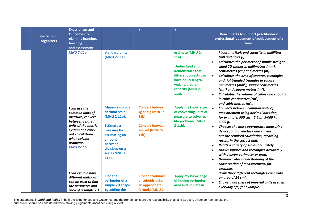| <b>Curriculum</b><br>organisers | <b>Experiences and</b><br><b>Outcomes for</b><br>planning learning,<br>teaching<br>and assessment                                                                                                           |                                                                                                                                                                                                                          | $\bullet$                                                                                                        | $\bullet$                                                                                                                                                                                                                                                                                | <b>Benchmarks to support practitioners'</b><br>professional judgement of achievement of a<br>level                                                                                                                                                                                                                                                                                                                                                                                                                                                                                                                                                                                                                                                                                                                                                                                                                                                                                                                                                        |
|---------------------------------|-------------------------------------------------------------------------------------------------------------------------------------------------------------------------------------------------------------|--------------------------------------------------------------------------------------------------------------------------------------------------------------------------------------------------------------------------|------------------------------------------------------------------------------------------------------------------|------------------------------------------------------------------------------------------------------------------------------------------------------------------------------------------------------------------------------------------------------------------------------------------|-----------------------------------------------------------------------------------------------------------------------------------------------------------------------------------------------------------------------------------------------------------------------------------------------------------------------------------------------------------------------------------------------------------------------------------------------------------------------------------------------------------------------------------------------------------------------------------------------------------------------------------------------------------------------------------------------------------------------------------------------------------------------------------------------------------------------------------------------------------------------------------------------------------------------------------------------------------------------------------------------------------------------------------------------------------|
|                                 | <b>MNU 2-11a</b><br>I can use the<br>common units of<br>measure, convert<br>between related<br>units of the metric<br>system and carry<br>out calculations<br>when solving<br>problems.<br><b>MNU 2-11b</b> | standard units<br>(MNU 2-11a).<br><b>Measure using a</b><br>decimal scale<br>(MNU 2-11b).<br><b>Estimate a</b><br>measure by<br>estimating an<br>amount<br><b>between</b><br>divisions on a<br>scale (MNU 2-<br>$11b$ ). | <b>Convert between</b><br>kg and g (MNU 2-<br>$11b$ ).<br><b>Convert between I</b><br>and ml (MNU 2-<br>$11b$ ). | estimate (MNU 2-<br>$11a$ ).<br><b>Understand and</b><br>demonstrate that<br>different objects can<br>have equal length,<br>weight, area or<br>capacity (MNU 2-<br>$11a$ ).<br>Apply my knowledge<br>of converting units of<br>measure to solve real<br>life problems (MNU<br>$2-11b$ ). | kilograms (kg); and capacity in millilitres<br>(ml) and litres (l).<br>Calculates the perimeter of simple straight<br>sided 2D shapes in millimetres (mm),<br>centimetres (cm) and metres (m).<br>Calculates the area of squares, rectangles<br>$\bullet$<br>and right-angled triangles in square<br>millimetres (mm <sup>2</sup> ), square centimetres<br>$(cm2)$ and square metres (m <sup>2</sup> ).<br>Calculates the volume of cubes and cuboids<br>$\bullet$<br>in cubic centimetres $(cm3)$<br>and cubic metres $(m3)$ .<br>Converts between common units of<br>$\bullet$<br>measurement using decimal notation,<br>for example, 550 cm = 5.5 m; 3.009 kg =<br>3009 g.<br>Chooses the most appropriate measuring<br>$\bullet$<br>device for a given task and carries<br>out the required calculation, recording<br>results in the correct unit.<br>Reads a variety of scales accurately.<br>$\bullet$<br>Draws squares and rectangles accurately<br>$\bullet$<br>with a given perimeter or area.<br>Demonstrates understanding of the<br>$\bullet$ |
|                                 | I can explain how<br>different methods<br>can be used to find<br>the perimeter and<br>area of a simple 2D                                                                                                   | <b>Find the</b><br>perimeter of a<br>simple 2D shape<br>by adding the                                                                                                                                                    | <b>Find the volumes</b><br>of cuboids using<br>an appropriate<br>formula (MNU 2-                                 | <b>Apply my knowledge</b><br>of finding perimeter,<br>area and volume in                                                                                                                                                                                                                 | conservation of measurement, for<br>example,<br>draw three different rectangles each with<br>an area of 24 cm <sup>2</sup> .<br>Shows awareness of imperial units used in<br>everyday life, for example,                                                                                                                                                                                                                                                                                                                                                                                                                                                                                                                                                                                                                                                                                                                                                                                                                                                  |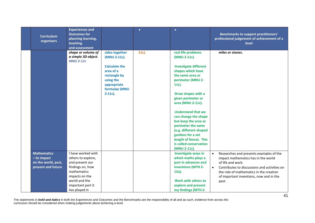| <b>Curriculum</b><br>organisers                                                   | <b>Experiences and</b><br><b>Outcomes for</b><br>planning learning,<br>teaching<br>and assessment                                                                       |                                                                                                                                                | $\bullet$ | $\bullet$                                                                                                                                                                                                                                                                                                                                                                                                                           | Benchmarks to support practitioners'<br>professional judgement of achievement of a<br>level                                                                                                                                                                                  |
|-----------------------------------------------------------------------------------|-------------------------------------------------------------------------------------------------------------------------------------------------------------------------|------------------------------------------------------------------------------------------------------------------------------------------------|-----------|-------------------------------------------------------------------------------------------------------------------------------------------------------------------------------------------------------------------------------------------------------------------------------------------------------------------------------------------------------------------------------------------------------------------------------------|------------------------------------------------------------------------------------------------------------------------------------------------------------------------------------------------------------------------------------------------------------------------------|
|                                                                                   | shape or volume of<br>a simple 3D object.<br><b>MNU 2-11c</b>                                                                                                           | sides together<br>(MNU 2-11c).<br><b>Calculate the</b><br>area of a<br>rectangle by<br>using the<br>appropriate<br>formulae (MNU<br>$2-11c$ ). | 11c).     | real life problems<br>(MNU 2-11c).<br><b>Investigate different</b><br>shapes which have<br>the same area or<br>perimeter (MNU 2-<br>$11c$ ).<br>Draw shapes with a<br>given perimeter or<br>area (MNU 2-11c).<br><b>Understand that we</b><br>can change the shape<br>but keep the area or<br>perimeter the same<br>(e.g. different shaped<br>gardens for a set<br>length of fence). This<br>is called conservation<br>(MNU 2-11c). | miles or stones.                                                                                                                                                                                                                                                             |
| <b>Mathematics</b><br>$-$ its impact<br>on the world, past,<br>present and future | I have worked with<br>others to explore,<br>and present our<br>findings on, how<br>mathematics<br>impacts on the<br>world and the<br>important part it<br>has played in |                                                                                                                                                |           | <b>Investigate ways in</b><br>which maths plays a<br>part in advances and<br>inventions (MTH 2-<br>12a).<br>Work with others to<br>explore and present<br>my findings (MTH 2-                                                                                                                                                                                                                                                       | Researches and presents examples of the<br>$\bullet$<br>impact mathematics has in the world<br>of life and work.<br>Contributes to discussions and activities on<br>$\bullet$<br>the role of mathematics in the creation<br>of important inventions, now and in the<br>past. |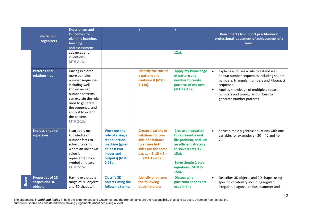|              | <b>Curriculum</b><br>organisers                     | <b>Experiences and</b><br><b>Outcomes for</b><br>planning learning,<br>teaching<br>and assessment                                                                                                                                       |                                                                                                                                         | $\bullet$                                                                                                                                      | $\bullet$                                                                                                                                                                               | Benchmarks to support practitioners'<br>professional judgement of achievement of a<br>level                                                                                                                                                                                        |
|--------------|-----------------------------------------------------|-----------------------------------------------------------------------------------------------------------------------------------------------------------------------------------------------------------------------------------------|-----------------------------------------------------------------------------------------------------------------------------------------|------------------------------------------------------------------------------------------------------------------------------------------------|-----------------------------------------------------------------------------------------------------------------------------------------------------------------------------------------|------------------------------------------------------------------------------------------------------------------------------------------------------------------------------------------------------------------------------------------------------------------------------------|
|              |                                                     | advances and<br>inventions.<br><b>MTH 2-12a</b>                                                                                                                                                                                         |                                                                                                                                         |                                                                                                                                                | 12a).                                                                                                                                                                                   |                                                                                                                                                                                                                                                                                    |
|              | <b>Patterns and</b><br>relationships                | Having explored<br>more complex<br>number sequences,<br>including well-<br>known named<br>number patterns, I<br>can explain the rule<br>used to generate<br>the sequence, and<br>apply it to extend<br>the pattern.<br><b>MTH 2-13a</b> |                                                                                                                                         | <b>Identify the rule of</b><br>a pattern and<br>continue it (MTH<br>$2-13a$ ).                                                                 | <b>Apply my knowledge</b><br>of pattern and<br>number to create<br>patterns of my own<br>(MTH 2-13a).                                                                                   | Explains and uses a rule to extend well<br>$\bullet$<br>known number sequences including square<br>numbers, triangular numbers and Fibonacci<br>sequence.<br>Applies knowledge of multiples, square<br>$\bullet$<br>numbers and triangular numbers to<br>generate number patterns. |
|              | <b>Expressions and</b><br>equations                 | I can apply my<br>knowledge of<br>number facts to<br>solve problems<br>where an unknown<br>value is<br>represented by a<br>symbol or letter.<br><b>MTH 2-15a</b>                                                                        | <b>Work out the</b><br>rule of a single<br>step function<br>machine (given<br>at least two<br>inputs and<br>outputs) (MTH<br>$2-15a$ ). | Create a variety of<br>solutions for one<br>side of a balance<br>to ensure both<br>sides are the same<br>e.g.  = 9, $15 + 2 =$<br>(MTH 2-15a). | <b>Create an equation</b><br>to represent a real<br>life problem, and use<br>an efficient strategy<br>to solve it (MTH 2-<br>15a).<br>Solve simple 2-step<br>equations (MTH 2-<br>15a). | Solves simple algebraic equations with one<br>$\bullet$<br>variable, for example, $a - 30 = 40$ and $4b =$<br>20.                                                                                                                                                                  |
| <b>Shape</b> | <b>Properties of 2D</b><br>shapes and 3D<br>objects | Having explored a<br>range of 3D objects<br>and 2D shapes, I                                                                                                                                                                            | <b>Classify 3D</b><br>objects using the<br>following terms:                                                                             | <b>Identify and name</b><br>the following<br>quadrilaterals:                                                                                   | <b>Discuss why</b><br>particular shapes are<br>used in the                                                                                                                              | Describes 3D objects and 2D shapes using<br>$\bullet$<br>specific vocabulary including regular,<br>irregular, diagonal, radius, diameter and                                                                                                                                       |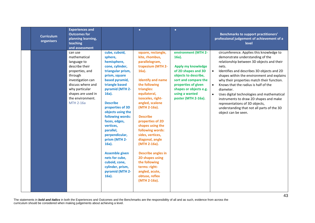| <b>Curriculum</b><br>organisers | <b>Experiences and</b><br><b>Outcomes for</b><br>planning learning,<br>teaching<br>and assessment                                                                                                         |                                                                                                                                                                                                                                                                                                                                                                                                                                                              | $\bullet$                                                                                                                                                                                                                                                                                                                                                                                                                                                                                              | $\bullet$                                                                                                                                                                                                              | Benchmarks to support practitioners'<br>professional judgement of achievement of a<br>level                                                                                                                                                                                                                                                                                                                                                                                                                                                                             |
|---------------------------------|-----------------------------------------------------------------------------------------------------------------------------------------------------------------------------------------------------------|--------------------------------------------------------------------------------------------------------------------------------------------------------------------------------------------------------------------------------------------------------------------------------------------------------------------------------------------------------------------------------------------------------------------------------------------------------------|--------------------------------------------------------------------------------------------------------------------------------------------------------------------------------------------------------------------------------------------------------------------------------------------------------------------------------------------------------------------------------------------------------------------------------------------------------------------------------------------------------|------------------------------------------------------------------------------------------------------------------------------------------------------------------------------------------------------------------------|-------------------------------------------------------------------------------------------------------------------------------------------------------------------------------------------------------------------------------------------------------------------------------------------------------------------------------------------------------------------------------------------------------------------------------------------------------------------------------------------------------------------------------------------------------------------------|
|                                 | can use<br>mathematical<br>language to<br>describe their<br>properties, and<br>through<br>investigation can<br>discuss where and<br>why particular<br>shapes are used in<br>the environment.<br>MTH 2-16a | cube, cuboid,<br>sphere,<br>hemisphere,<br>cone, cylinder,<br>triangular prism,<br>prism, square<br>based pyramid,<br>triangle based<br>pyramid (MTH 2-<br>$16a$ ).<br><b>Describe</b><br>properties of 3D<br>objects using the<br>following words:<br>faces, edges,<br>vertices,<br>parallel,<br>perpendicular,<br>prism (MTH 2-<br>$16a$ ).<br><b>Assemble given</b><br>nets for cube,<br>cuboid, cone,<br>cylinder, prism,<br>pyramid (MTH 2-<br>$16a$ ). | square, rectangle,<br>kite, rhombus,<br>parallelogram,<br>trapezium (MTH 2-<br>$16a$ ).<br><b>Identify and name</b><br>the following<br>triangles:<br>equilateral,<br>isosceles, right-<br>angled, scalene<br>(MTH 2-16a).<br><b>Describe</b><br>properties of 2D<br>shapes using the<br>following words:<br>sides, vertices,<br>diagonal, angle<br>(MTH 2-16a).<br><b>Describe angles in</b><br>2D shapes using<br>the following<br>terms: right-<br>angled, acute,<br>obtuse, reflex<br>(MTH 2-16a). | environment (MTH 2-<br>$16a$ ).<br>Apply my knowledge<br>of 2D shapes and 3D<br>objects to describe,<br>sort and compare the<br>properties of given<br>shapes or objects e.g.<br>using a wanted<br>poster (MTH 2-16a). | circumference. Applies this knowledge to<br>demonstrate understanding of the<br>relationship between 3D objects and their<br>nets.<br>Identifies and describes 3D objects and 2D<br>$\bullet$<br>shapes within the environment and explains<br>why their properties match their function.<br>Knows that the radius is half of the<br>$\bullet$<br>diameter.<br>$\bullet$<br>Uses digital technologies and mathematical<br>instruments to draw 2D shapes and make<br>representations of 3D objects,<br>understanding that not all parts of the 3D<br>object can be seen. |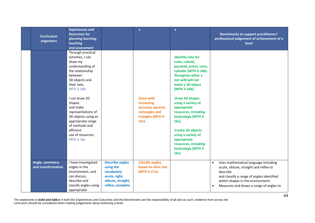| <b>Curriculum</b><br>organisers       | <b>Experiences and</b><br><b>Outcomes for</b><br>planning learning,<br>teaching<br>and assessment                                                                                                                                                                                                                                          |                                                                                                             | $\bullet$                                                                                           | $\bullet$                                                                                                                                                                                                                                                                                                                                                                                                                    | <b>Benchmarks to support practitioners'</b><br>professional judgement of achievement of a<br>level                                                                                                                                  |
|---------------------------------------|--------------------------------------------------------------------------------------------------------------------------------------------------------------------------------------------------------------------------------------------------------------------------------------------------------------------------------------------|-------------------------------------------------------------------------------------------------------------|-----------------------------------------------------------------------------------------------------|------------------------------------------------------------------------------------------------------------------------------------------------------------------------------------------------------------------------------------------------------------------------------------------------------------------------------------------------------------------------------------------------------------------------------|-------------------------------------------------------------------------------------------------------------------------------------------------------------------------------------------------------------------------------------|
|                                       | Through practical<br>activities, I can<br>show my<br>understanding of<br>the relationship<br>between<br>3D objects and<br>their nets.<br><b>MTH 2-16b</b><br>I can draw 2D<br>shapes<br>and make<br>representations of<br>3D objects using an<br>appropriate range<br>of methods and<br>efficient<br>use of resources.<br><b>MTH 2-16c</b> |                                                                                                             | <b>Draw with</b><br>increasing<br>accuracy squares,<br>rectangles and<br>triangles (MTH 2-<br>16c). | <b>Identify nets for</b><br>cube, cuboid,<br>pyramid, prism, cone,<br>cylinder (MTH 2-16b).<br><b>Recognise when a</b><br>net will/will not<br>make a 3D object<br>(MTH 2-16b).<br><b>Draw 2D shapes</b><br>using a variety of<br>appropriate<br>resources, including<br>technology (MTH 2-<br>16c).<br><b>Create 3D objects</b><br>using a variety of<br>appropriate<br>resources, including<br>technology (MTH 2-<br>16c). |                                                                                                                                                                                                                                     |
| Angle, symmetry<br>and transformation | I have investigated<br>angles in the<br>environment, and<br>can discuss,<br>describe and<br>classify angles using<br>appropriate                                                                                                                                                                                                           | <b>Describe angles</b><br>using the<br>vocabulary<br>acute, right,<br>obtuse, straight,<br>reflex, complete | <b>Classify angles,</b><br>based on their size<br>(MTH 2-17a).                                      |                                                                                                                                                                                                                                                                                                                                                                                                                              | Uses mathematical language including<br>$\bullet$<br>acute, obtuse, straight and reflex to<br>describe<br>and classify a range of angles identified<br>within shapes in the environment.<br>Measures and draws a range of angles to |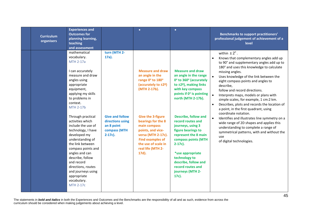| <b>Curriculum</b><br>organisers | <b>Experiences and</b><br><b>Outcomes for</b><br>planning learning,<br>teaching<br>and assessment                                                                                                                                                                                                                                                                                                                                                                                                                          |                                                                                                                 | $\bullet$                                                                                                                                                                                                                                                                                          | $\bullet$                                                                                                                                                                                                                                                                                                                                                                                                                                                         | Benchmarks to support practitioners'<br>professional judgement of achievement of a<br>level                                                                                                                                                                                                                                                                                                                                                                                                                                                                                                                                                                                                                                                                                                 |
|---------------------------------|----------------------------------------------------------------------------------------------------------------------------------------------------------------------------------------------------------------------------------------------------------------------------------------------------------------------------------------------------------------------------------------------------------------------------------------------------------------------------------------------------------------------------|-----------------------------------------------------------------------------------------------------------------|----------------------------------------------------------------------------------------------------------------------------------------------------------------------------------------------------------------------------------------------------------------------------------------------------|-------------------------------------------------------------------------------------------------------------------------------------------------------------------------------------------------------------------------------------------------------------------------------------------------------------------------------------------------------------------------------------------------------------------------------------------------------------------|---------------------------------------------------------------------------------------------------------------------------------------------------------------------------------------------------------------------------------------------------------------------------------------------------------------------------------------------------------------------------------------------------------------------------------------------------------------------------------------------------------------------------------------------------------------------------------------------------------------------------------------------------------------------------------------------------------------------------------------------------------------------------------------------|
|                                 | mathematical<br>vocabulary.<br>MTH 2-17a<br>I can accurately<br>measure and draw<br>angles using<br>appropriate<br>equipment,<br>applying my skills<br>to problems in<br>context.<br><b>MTH 2-17b</b><br>Through practical<br>activities which<br>include the use of<br>technology, I have<br>developed my<br>understanding of<br>the link between<br>compass points and<br>angles and can<br>describe, follow<br>and record<br>directions, routes<br>and journeys using<br>appropriate<br>vocabulary.<br><b>MTH 2-17c</b> | turn (MTH 2-<br>17a).<br><b>Give and follow</b><br>directions using<br>an 8 point<br>compass (MTH<br>$2-17c$ ). | <b>Measure and draw</b><br>an angle in the<br>range 0° to 180°<br>(accurately to ±2º)<br>(MTH 2-17b).<br><b>Give the 3-figure</b><br>bearings for the 8<br>main compass<br>points, and vice-<br>versa (MTH 2-17c).<br><b>Find examples of</b><br>the use of scale in<br>real life (MTH 2-<br>17d). | <b>Measure and draw</b><br>an angle in the range<br>0° to 360° (accurately<br>to ±2 <sup>o</sup> ), making links<br>with key compass<br>points if 0° is pointing<br>north (MTH 2-17b).<br><b>Describe, follow and</b><br>record routes and<br>journeys, using 3<br>figure bearings to<br>represent the 8 main<br>compass points (MTH<br>$2-17c$ ).<br>*use appropriate<br>technology to<br>describe, follow and<br>record routes and<br>journeys (MTH 2-<br>17c). | within $\pm 2^{\circ}$ .<br>Knows that complementary angles add up<br>$\bullet$<br>to 90° and supplementary angles add up to<br>180° and uses this knowledge to calculate<br>missing angles.<br>Uses knowledge of the link between the<br>eight compass points and angles to<br>describe,<br>follow and record directions.<br>$\bullet$<br>Interprets maps, models or plans with<br>simple scales, for example, 1 cm:2 km.<br>Describes, plots and records the location of<br>$\bullet$<br>a point, in the first quadrant, using<br>coordinate notation.<br>$\bullet$<br>Identifies and illustrates line symmetry on a<br>wide range of 2D shapes and applies this<br>understanding to complete a range of<br>symmetrical patterns, with and without the<br>use<br>of digital technologies. |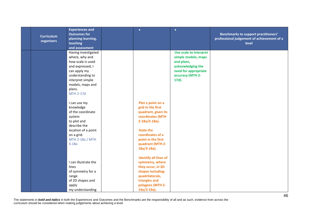| <b>Curriculum</b><br>organisers | <b>Experiences and</b><br><b>Outcomes for</b><br>planning learning,<br>teaching<br>and assessment                                                                                        | $\bullet$                                                                                                                                                                                                 | $\bullet$                                                                                                                             | <b>Benchmarks to support practitioners'</b><br>professional judgement of achievement of a<br>level |
|---------------------------------|------------------------------------------------------------------------------------------------------------------------------------------------------------------------------------------|-----------------------------------------------------------------------------------------------------------------------------------------------------------------------------------------------------------|---------------------------------------------------------------------------------------------------------------------------------------|----------------------------------------------------------------------------------------------------|
|                                 | Having investigated<br>where, why and<br>how scale is used<br>and expressed, I<br>can apply my<br>understanding to<br>interpret simple<br>models, maps and<br>plans.<br><b>MTH 2-17d</b> |                                                                                                                                                                                                           | Use scale to interpret<br>simple models, maps<br>and plans,<br>acknowledging the<br>need for appropriate<br>accuracy (MTH 2-<br>17d). |                                                                                                    |
|                                 | I can use my<br>knowledge<br>of the coordinate<br>system<br>to plot and<br>describe the<br>location of a point<br>on a grid.<br>MTH 2-18a / MTH<br>$3-18a$                               | Plot a point on a<br>grid in the first<br>quadrant, given its<br>coordinates (MTH<br>$2-18a/3-18a$ ).<br><b>State the</b><br>coordinates of a<br>point in the first<br>quadrant (MTH 2-<br>$18a/3-18a$ ). |                                                                                                                                       |                                                                                                    |
|                                 | I can illustrate the<br>lines<br>of symmetry for a<br>range<br>of 2D shapes and<br>apply<br>my understanding                                                                             | <b>Identify all lines of</b><br>symmetry, where<br>they occur, in 2D<br>shapes including:<br>quadrilaterals,<br>triangles and<br>polygons (MTH 2-<br>$19a/3-19a$ ).                                       |                                                                                                                                       |                                                                                                    |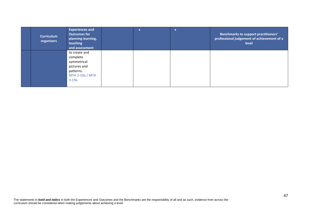| <b>Curriculum</b><br>organisers | <b>Experiences and</b><br><b>Outcomes for</b><br>planning learning,<br>teaching<br>and assessment   |  | <b>Benchmarks to support practitioners'</b><br>professional judgement of achievement of a<br>level |
|---------------------------------|-----------------------------------------------------------------------------------------------------|--|----------------------------------------------------------------------------------------------------|
|                                 | to create and<br>complete<br>symmetrical<br>pictures and<br>patterns.<br>MTH 2-19a / MTH<br>$3-19a$ |  |                                                                                                    |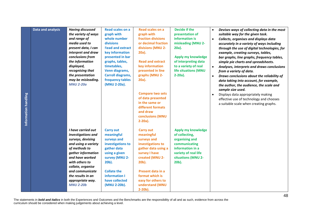| <b>Data and analysis</b><br>Information handling | <b>Having discussed</b><br>the variety of ways<br>and range of<br>media used to<br>present data, I can<br>interpret and draw<br>conclusions from<br>the information<br>displayed,<br>recognising that<br>the presentation<br>may be misleading.<br><b>MNU 2-20a</b>   | <b>Read scales on a</b><br>graph with<br>whole number<br>divisions<br><b>Read and extract</b><br>key information<br>presented in bar<br>graphs, tables,<br>timetables,<br>Venn diagrams,<br><b>Carroll diagrams,</b><br>frequency tables<br>(MNU 2-20a). | Read scales on a<br>graph with<br>fraction divisions<br>or decimal fraction<br>divisions (MNU 2-<br>20a).<br><b>Read and extract</b><br>key information<br>presented in line<br>graphs (MNU 2-<br>20a).<br><b>Compare two sets</b><br>of data presented<br>in the same or<br>different formats<br>and draw<br>conclusions (MNU | Decide if the<br>presentation of<br>information is<br>misleading (MNU 2-<br>20a).<br><b>Apply my knowledge</b><br>of interpreting data<br>to a variety of real<br>life situations (MNU<br>$2-20a$ ). | Devises ways of collecting data in the most<br>$\bullet$<br>suitable way for the given task.<br>Collects, organises and displays data<br>$\bullet$<br>accurately in a variety of ways including<br>through the use of digital technologies, for<br>example, creating surveys, tables,<br>bar graphs, line graphs, frequency tables,<br>simple pie charts and spreadsheets.<br>Analyses, interprets and draws conclusions<br>$\bullet$<br>from a variety of data.<br>Draws conclusions about the reliability of<br>$\bullet$<br>data taking into account, for example,<br>the author, the audience, the scale and<br>sample size used.<br>Displays data appropriately making<br>effective use of technology and chooses<br>a suitable scale when creating graphs. |
|--------------------------------------------------|-----------------------------------------------------------------------------------------------------------------------------------------------------------------------------------------------------------------------------------------------------------------------|----------------------------------------------------------------------------------------------------------------------------------------------------------------------------------------------------------------------------------------------------------|--------------------------------------------------------------------------------------------------------------------------------------------------------------------------------------------------------------------------------------------------------------------------------------------------------------------------------|------------------------------------------------------------------------------------------------------------------------------------------------------------------------------------------------------|------------------------------------------------------------------------------------------------------------------------------------------------------------------------------------------------------------------------------------------------------------------------------------------------------------------------------------------------------------------------------------------------------------------------------------------------------------------------------------------------------------------------------------------------------------------------------------------------------------------------------------------------------------------------------------------------------------------------------------------------------------------|
|                                                  | I have carried out<br>investigations and<br>surveys, devising<br>and using a variety<br>of methods to<br>gather information<br>and have worked<br>with others to<br>collate, organise<br>and communicate<br>the results in an<br>appropriate way.<br><b>MNU 2-20b</b> | <b>Carry out</b><br>meaningful<br>surveys and<br>investigations to<br>gather data<br>using a given<br>survey (MNU 2-<br>20b).<br><b>Collate the</b><br>information I<br>have collected<br>(MNU 2-20b).                                                   | $2-20a$ ).<br><b>Carry out</b><br>meaningful<br>surveys and<br>investigations to<br>gather data using a<br>survey I have<br>created (MNU 2-<br>20b).<br>Present data in a<br>format which is<br>easy for others to<br>understand (MNU<br>$2-20b$ ).                                                                            | Apply my knowledge<br>of collecting,<br>organising and<br>communicating<br>information in a<br>variety of real life<br>situations (MNU 2-<br>20b).                                                   |                                                                                                                                                                                                                                                                                                                                                                                                                                                                                                                                                                                                                                                                                                                                                                  |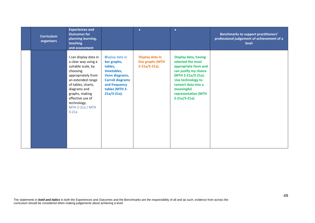| <b>Curriculum</b><br>organisers | <b>Experiences and</b><br><b>Outcomes for</b><br>planning learning,<br>teaching<br>and assessment                                                                                                                                                  |                                                                                                                                                            | $\bullet$                                               | $\bullet$                                                                                                                                                                                                                    | <b>Benchmarks to support practitioners'</b><br>professional judgement of achievement of a<br>level |
|---------------------------------|----------------------------------------------------------------------------------------------------------------------------------------------------------------------------------------------------------------------------------------------------|------------------------------------------------------------------------------------------------------------------------------------------------------------|---------------------------------------------------------|------------------------------------------------------------------------------------------------------------------------------------------------------------------------------------------------------------------------------|----------------------------------------------------------------------------------------------------|
|                                 | I can display data in<br>a clear way using a<br>suitable scale, by<br>choosing<br>appropriately from<br>an extended range<br>of tables, charts,<br>diagrams and<br>graphs, making<br>effective use of<br>technology.<br>MTH 2-21a / MTH<br>$3-21a$ | Display data in<br>bar graphs,<br>tables,<br>timetables,<br>Venn diagrams,<br><b>Carroll diagrams</b><br>and frequency<br>tables (MTH 2-<br>$21a/3-21a$ ). | Display data in<br>line graphs (MTH<br>$2-21a/3-21a$ ). | <b>Display data, having</b><br>selected the most<br>appropriate form and<br>can justify my choice<br>(MTH 2-21a/3-21a).<br>Use technology to<br>convert data into a<br>meaningful<br>representation (MTH<br>$2-21a/3-21a$ ). |                                                                                                    |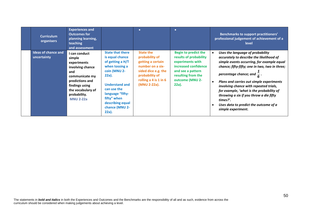| <b>Curriculum</b><br>organisers           | <b>Experiences and</b><br><b>Outcomes for</b><br>planning learning,<br>teaching<br>and assessment                                                                                 |                                                                                                                                                                                                                                     | $\bullet$                                                                                                                                                     | $\bullet$                                                                                                                                                                   | Benchmarks to support practitioners'<br>professional judgement of achievement of a<br>level                                                                                                                                                                                                                                                                                                                                                                                    |
|-------------------------------------------|-----------------------------------------------------------------------------------------------------------------------------------------------------------------------------------|-------------------------------------------------------------------------------------------------------------------------------------------------------------------------------------------------------------------------------------|---------------------------------------------------------------------------------------------------------------------------------------------------------------|-----------------------------------------------------------------------------------------------------------------------------------------------------------------------------|--------------------------------------------------------------------------------------------------------------------------------------------------------------------------------------------------------------------------------------------------------------------------------------------------------------------------------------------------------------------------------------------------------------------------------------------------------------------------------|
| <b>Ideas of chance and</b><br>uncertainty | I can conduct<br>simple<br>experiments<br>involving chance<br>and<br>communicate my<br>predictions and<br>findings using<br>the vocabulary of<br>probability.<br><b>MNU 2-22a</b> | <b>State that there</b><br>is equal chance<br>of getting a H/T<br>when tossing a<br>coin (MNU 2-<br>22a).<br><b>Understand and</b><br>can use the<br>language "fifty-<br>fifty" when<br>describing equal<br>chance (MNU 2-<br>22a). | <b>State the</b><br>probability of<br>getting a certain<br>number on a six-<br>sided dice e.g. the<br>probability of<br>rolling a 4 is 1 in 6<br>(MNU 2-22a). | <b>Begin to predict the</b><br>results of probability<br>experiments with<br>increased confidence<br>and see a pattern<br>resulting from the<br>outcome (MNU 2-<br>$22a$ ). | Uses the language of probability<br>accurately to describe the likelihood of<br>simple events occurring, for example equal<br>chance; fifty-fifty; one in two, two in three;<br>percentage chance; and $\frac{1}{6}$ .<br>Plans and carries out simple experiments<br>involving chance with repeated trials,<br>for example, 'what is the probability of<br>throwing a six if you throw a die fifty<br>times?'.<br>Uses data to predict the outcome of a<br>simple experiment. |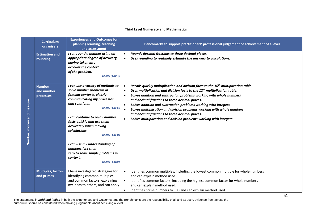#### **Third Level Numeracy and Mathematics**

|                           | <b>Curriculum</b><br>organisers          | <b>Experiences and Outcomes for</b><br>planning learning, teaching<br>and assessment                                                                                                                                                                                                                                                                                                                                      |                                                               | Benchmarks to support practitioners' professional judgement of achievement of a level                                                                                                                                                                                                                                                                                                                                                                                                                                                                                                 |
|---------------------------|------------------------------------------|---------------------------------------------------------------------------------------------------------------------------------------------------------------------------------------------------------------------------------------------------------------------------------------------------------------------------------------------------------------------------------------------------------------------------|---------------------------------------------------------------|---------------------------------------------------------------------------------------------------------------------------------------------------------------------------------------------------------------------------------------------------------------------------------------------------------------------------------------------------------------------------------------------------------------------------------------------------------------------------------------------------------------------------------------------------------------------------------------|
|                           | <b>Estimation and</b><br>rounding        | I can round a number using an<br>appropriate degree of accuracy,<br>having taken into<br>account the context<br>of the problem.<br><b>MNU 3-01a</b>                                                                                                                                                                                                                                                                       | $\bullet$<br>$\bullet$                                        | Rounds decimal fractions to three decimal places.<br>Uses rounding to routinely estimate the answers to calculations.                                                                                                                                                                                                                                                                                                                                                                                                                                                                 |
| Number, money and measure | <b>Number</b><br>and number<br>processes | I can use a variety of methods to<br>solve number problems in<br>familiar contexts, clearly<br>communicating my processes<br>and solutions.<br><b>MNU 3-03a</b><br>I can continue to recall number<br>facts quickly and use them<br>accurately when making<br>calculations.<br><b>MNU 3-03b</b><br>I can use my understanding of<br>numbers less than<br>zero to solve simple problems in<br>context.<br><b>MNU 3-04a</b> | $\bullet$<br>$\bullet$<br>$\bullet$<br>$\bullet$<br>$\bullet$ | Recalls quickly multiplication and division facts to the 10 <sup>th</sup> multiplication table.<br>Uses multiplication and division facts to the 12 <sup>th</sup> multiplication table.<br>Solves addition and subtraction problems working with whole numbers<br>and decimal fractions to three decimal places.<br>Solves addition and subtraction problems working with integers.<br>Solves multiplication and division problems working with whole numbers<br>and decimal fractions to three decimal places.<br>Solves multiplication and division problems working with integers. |
|                           | <b>Multiples, factors</b><br>and primes  | I have investigated strategies for<br>identifying common multiples<br>and common factors, explaining<br>my ideas to others, and can apply                                                                                                                                                                                                                                                                                 | $\bullet$<br>$\bullet$<br>$\bullet$                           | Identifies common multiples, including the lowest common multiple for whole numbers<br>and can explain method used.<br>Identifies common factors, including the highest common factor for whole numbers<br>and can explain method used.<br>Identifies prime numbers to 100 and can explain method used.                                                                                                                                                                                                                                                                               |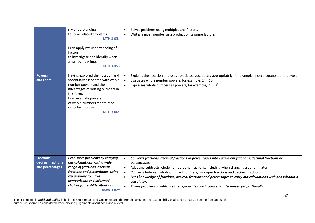|                                                    | my understanding<br>to solve related problems.<br><b>MTH 3-05a</b><br>I can apply my understanding of<br>factors<br>to investigate and identify when<br>a number is prime.<br><b>MTH 3-05b</b>                                                    | Solves problems using multiples and factors.<br>$\bullet$<br>Writes a given number as a product of its prime factors.<br>$\bullet$                                                                                                                                                                                                                                                                                                                                                                                                                     |
|----------------------------------------------------|---------------------------------------------------------------------------------------------------------------------------------------------------------------------------------------------------------------------------------------------------|--------------------------------------------------------------------------------------------------------------------------------------------------------------------------------------------------------------------------------------------------------------------------------------------------------------------------------------------------------------------------------------------------------------------------------------------------------------------------------------------------------------------------------------------------------|
| <b>Powers</b><br>and roots                         | Having explored the notation and<br>vocabulary associated with whole<br>number powers and the<br>advantages of writing numbers in<br>this form,<br>I can evaluate powers<br>of whole numbers mentally or<br>using technology.<br><b>MTH 3-06a</b> | Explains the notation and uses associated vocabulary appropriately, for example, index, exponent and power.<br>Evaluates whole number powers, for example, $2^4$ = 16.<br>Expresses whole numbers as powers, for example, $27 = 33$ .                                                                                                                                                                                                                                                                                                                  |
| Fractions,<br>decimal fractions<br>and percentages | I can solve problems by carrying<br>out calculations with a wide<br>range of fractions, decimal<br>fractions and percentages, using<br>my answers to make<br>comparisons and informed<br>choices for real-life situations.<br><b>MNU 3-07a</b>    | Converts fractions, decimal fractions or percentages into equivalent fractions, decimal fractions or<br>$\bullet$<br>percentages.<br>Adds and subtracts whole numbers and fractions, including when changing a denominator.<br>Converts between whole or mixed numbers, improper fractions and decimal fractions.<br>$\bullet$<br>Uses knowledge of fractions, decimal fractions and percentages to carry out calculations with and without a<br>calculator.<br>Solves problems in which related quantities are increased or decreased proportionally. |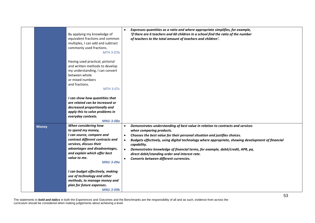|              | By applying my knowledge of<br>equivalent fractions and common<br>multiples, I can add and subtract<br>commonly used fractions.<br><b>MTH 3-07b</b><br>Having used practical, pictorial<br>and written methods to develop<br>my understanding, I can convert<br>between whole<br>or mixed numbers<br>and fractions.<br><b>MTH 3-07c</b><br>I can show how quantities that |                        | Expresses quantities as a ratio and where appropriate simplifies, for example,<br>'if there are 6 teachers and 60 children in a school find the ratio of the number<br>of teachers to the total amount of teachers and children'.                                                                                                                                                                                                                                                          |
|--------------|---------------------------------------------------------------------------------------------------------------------------------------------------------------------------------------------------------------------------------------------------------------------------------------------------------------------------------------------------------------------------|------------------------|--------------------------------------------------------------------------------------------------------------------------------------------------------------------------------------------------------------------------------------------------------------------------------------------------------------------------------------------------------------------------------------------------------------------------------------------------------------------------------------------|
|              | are related can be increased or<br>decreased proportionally and<br>apply this to solve problems in                                                                                                                                                                                                                                                                        |                        |                                                                                                                                                                                                                                                                                                                                                                                                                                                                                            |
|              | everyday contexts.<br><b>MNU 3-08a</b>                                                                                                                                                                                                                                                                                                                                    |                        |                                                                                                                                                                                                                                                                                                                                                                                                                                                                                            |
| <b>Money</b> | When considering how<br>to spend my money,<br>I can source, compare and<br>contrast different contracts and<br>services, discuss their<br>advantages and disadvantages,<br>and explain which offer best<br>value to me.<br><b>MNU 3-09a</b>                                                                                                                               | $\bullet$<br>$\bullet$ | Demonstrates understanding of best value in relation to contracts and services<br>when comparing products.<br>Chooses the best value for their personal situation and justifies choices.<br>Budgets effectively, using digital technology where appropriate, showing development of financial<br>capability.<br>Demonstrates knowledge of financial terms, for example, debit/credit, APR, pa,<br>direct debit/standing order and interest rate.<br>Converts between different currencies. |
|              | I can budget effectively, making<br>use of technology and other<br>methods, to manage money and<br>plan for future expenses.<br><b>MNU 3-09b</b>                                                                                                                                                                                                                          |                        |                                                                                                                                                                                                                                                                                                                                                                                                                                                                                            |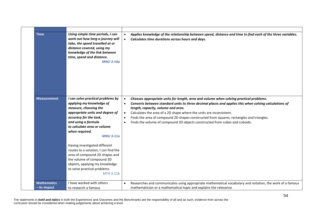| <b>Time</b>                        | Using simple time periods, I can<br>work out how long a journey will<br>take, the speed travelled at or<br>distance covered, using my<br>knowledge of the link between<br>time, speed and distance.<br><b>MNU 3-10a</b>                                                                                                                                                                                                                                                       | Applies knowledge of the relationship between speed, distance and time to find each of the three variables.<br>Calculates time durations across hours and days.<br>$\bullet$                                                                                                                                                                                                                                                                                                                                                                             |
|------------------------------------|-------------------------------------------------------------------------------------------------------------------------------------------------------------------------------------------------------------------------------------------------------------------------------------------------------------------------------------------------------------------------------------------------------------------------------------------------------------------------------|----------------------------------------------------------------------------------------------------------------------------------------------------------------------------------------------------------------------------------------------------------------------------------------------------------------------------------------------------------------------------------------------------------------------------------------------------------------------------------------------------------------------------------------------------------|
| <b>Measurement</b>                 | I can solve practical problems by<br>applying my knowledge of<br>measure, choosing the<br>appropriate units and degree of<br>accuracy for the task,<br>and using a formula<br>to calculate area or volume<br>when required.<br><b>MNU 3-11a</b><br>Having investigated different<br>routes to a solution, I can find the<br>area of compound 2D shapes and<br>the volume of compound 3D<br>objects, applying my knowledge<br>to solve practical problems.<br><b>MTH 3-11b</b> | Chooses appropriate units for length, area and volume when solving practical problems.<br>$\bullet$<br>Converts between standard units to three decimal places and applies this when solving calculations of<br>$\bullet$<br>length, capacity, volume and area.<br>Calculates the area of a 2D shape where the units are inconsistent.<br>$\bullet$<br>Finds the area of compound 2D shapes constructed from squares, rectangles and triangles.<br>$\bullet$<br>Finds the volume of compound 3D objects constructed from cubes and cuboids.<br>$\bullet$ |
| <b>Mathematics</b><br>- its impact | I have worked with others<br>to research a famous                                                                                                                                                                                                                                                                                                                                                                                                                             | Researches and communicates using appropriate mathematical vocabulary and notation, the work of a famous<br>$\bullet$<br>mathematician or a mathematical topic and explains the relevance                                                                                                                                                                                                                                                                                                                                                                |
|                                    |                                                                                                                                                                                                                                                                                                                                                                                                                                                                               |                                                                                                                                                                                                                                                                                                                                                                                                                                                                                                                                                          |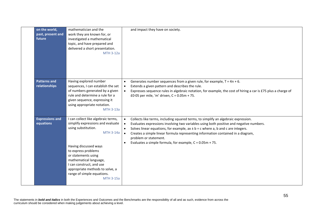| on the world,<br>past, present and<br>future | mathematician and the<br>work they are known for, or<br>investigated a mathematical<br>topic, and have prepared and<br>delivered a short presentation.<br><b>MTH 3-12a</b>                                                                                                                                                            | and impact they have on society.                                                                                                                                                                                                                                                                                                                                                                                                                                                                     |
|----------------------------------------------|---------------------------------------------------------------------------------------------------------------------------------------------------------------------------------------------------------------------------------------------------------------------------------------------------------------------------------------|------------------------------------------------------------------------------------------------------------------------------------------------------------------------------------------------------------------------------------------------------------------------------------------------------------------------------------------------------------------------------------------------------------------------------------------------------------------------------------------------------|
| <b>Patterns and</b><br>relationships         | Having explored number<br>sequences, I can establish the set<br>of numbers generated by a given<br>rule and determine a rule for a<br>given sequence, expressing it<br>using appropriate notation.<br><b>MTH 3-13a</b>                                                                                                                | Generates number sequences from a given rule, for example, $T = 4n + 6$ .<br>$\bullet$<br>Extends a given pattern and describes the rule.<br>$\bullet$<br>Expresses sequence rules in algebraic notation, for example, the cost of hiring a car is £75 plus a charge of<br>£0.05 per mile, 'm' driven, $C = 0.05m + 75$ .                                                                                                                                                                            |
| <b>Expressions and</b><br>equations          | I can collect like algebraic terms,<br>simplify expressions and evaluate<br>using substitution.<br><b>MTH 3-14a</b><br>Having discussed ways<br>to express problems<br>or statements using<br>mathematical language,<br>I can construct, and use<br>appropriate methods to solve, a<br>range of simple equations.<br><b>MTH 3-15a</b> | Collects like terms, including squared terms, to simplify an algebraic expression.<br>$\bullet$<br>Evaluates expressions involving two variables using both positive and negative numbers.<br>$\bullet$<br>Solves linear equations, for example, $ax \pm b = c$ where a, b and c are integers.<br>$\bullet$<br>Creates a simple linear formula representing information contained in a diagram,<br>problem or statement.<br>Evaluates a simple formula, for example, $C = 0.05m + 75$ .<br>$\bullet$ |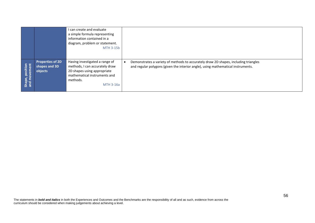|                                 |                                                     | I can create and evaluate<br>a simple formula representing<br>information contained in a<br>diagram, problem or statement.<br><b>MTH 3-15b</b>                  |                                                                                                                                                                                      |
|---------------------------------|-----------------------------------------------------|-----------------------------------------------------------------------------------------------------------------------------------------------------------------|--------------------------------------------------------------------------------------------------------------------------------------------------------------------------------------|
| Shape, position<br>and movement | <b>Properties of 2D</b><br>shapes and 3D<br>objects | Having investigated a range of<br>methods, I can accurately draw<br>2D shapes using appropriate<br>mathematical instruments and<br>methods.<br><b>MTH 3-16a</b> | Demonstrates a variety of methods to accurately draw 2D shapes, including triangles<br>$\bullet$<br>and regular polygons (given the interior angle), using mathematical instruments. |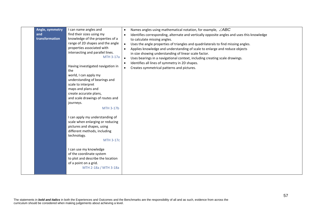| Angle, symmetry<br>I can name angles and<br>Names angles using mathematical notation, for example, $\angle ABC$<br>$\bullet$<br>and<br>find their sizes using my<br>Identifies corresponding, alternate and vertically opposite angles and uses this knowledge<br>$\bullet$<br>transformation<br>knowledge of the properties of a<br>to calculate missing angles.<br>range of 2D shapes and the angle<br>Uses the angle properties of triangles and quadrilaterals to find missing angles.<br>properties associated with<br>Applies knowledge and understanding of scale to enlarge and reduce objects<br>$\bullet$<br>intersecting and parallel lines.<br>in size showing understanding of linear scale factor.<br><b>MTH 3-17a</b><br>Uses bearings in a navigational context, including creating scale drawings.<br>Identifies all lines of symmetry in 2D shapes.<br>$\bullet$<br>Having investigated navigation in<br>Creates symmetrical patterns and pictures.<br>$\bullet$<br>the<br>world, I can apply my<br>understanding of bearings and<br>scale to interpret<br>maps and plans and<br>create accurate plans,<br>and scale drawings of routes and<br>journeys.<br><b>MTH 3-17b</b><br>I can apply my understanding of<br>scale when enlarging or reducing<br>pictures and shapes, using<br>different methods, including<br>technology.<br><b>MTH 3-17c</b><br>I can use my knowledge<br>of the coordinate system<br>to plot and describe the location<br>of a point on a grid.<br>MTH 2-18a / MTH 3-18a |
|---------------------------------------------------------------------------------------------------------------------------------------------------------------------------------------------------------------------------------------------------------------------------------------------------------------------------------------------------------------------------------------------------------------------------------------------------------------------------------------------------------------------------------------------------------------------------------------------------------------------------------------------------------------------------------------------------------------------------------------------------------------------------------------------------------------------------------------------------------------------------------------------------------------------------------------------------------------------------------------------------------------------------------------------------------------------------------------------------------------------------------------------------------------------------------------------------------------------------------------------------------------------------------------------------------------------------------------------------------------------------------------------------------------------------------------------------------------------------------------------------------------------|
|                                                                                                                                                                                                                                                                                                                                                                                                                                                                                                                                                                                                                                                                                                                                                                                                                                                                                                                                                                                                                                                                                                                                                                                                                                                                                                                                                                                                                                                                                                                     |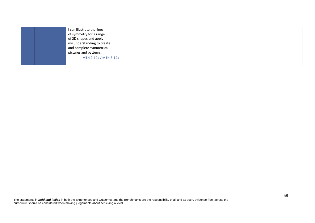| I can illustrate the lines |  |
|----------------------------|--|
| of symmetry for a range    |  |
| of 2D shapes and apply     |  |
| my understanding to create |  |
| and complete symmetrical   |  |
| pictures and patterns.     |  |
| MTH 2-19a / MTH 3-19a      |  |
|                            |  |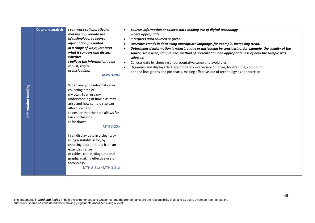|                      | Data and analysis | I can work collaboratively,<br>making appropriate use<br>of technology, to source<br>information presented<br>in a range of ways, interpret<br>what it conveys and discuss<br>whether<br>I believe the information to be<br>robust, vague<br>or misleading.<br><b>MNU 3-20a</b> | Sources information or collects data making use of digital technology<br>$\bullet$<br>where appropriate.<br>Interprets data sourced or given.<br>$\bullet$<br>Describes trends in data using appropriate language, for example, increasing trend.<br>$\bullet$<br>Determines if information is robust, vague or misleading by considering, for example, the validity of the<br>$\bullet$<br>source, scale used, sample size, method of presentation and appropriateness of how the sample was<br>selected.<br>Collects data by choosing a representative sample to avoid bias.<br>$\bullet$<br>Organises and displays data appropriately in a variety of forms, for example, compound<br>$\bullet$<br>bar and line graphs and pie charts, making effective use of technology as appropriate. |    |
|----------------------|-------------------|---------------------------------------------------------------------------------------------------------------------------------------------------------------------------------------------------------------------------------------------------------------------------------|----------------------------------------------------------------------------------------------------------------------------------------------------------------------------------------------------------------------------------------------------------------------------------------------------------------------------------------------------------------------------------------------------------------------------------------------------------------------------------------------------------------------------------------------------------------------------------------------------------------------------------------------------------------------------------------------------------------------------------------------------------------------------------------------|----|
| Information handling |                   | When analysing information or<br>collecting data of<br>my own, I can use my<br>understanding of how bias may<br>arise and how sample size can<br>affect precision,<br>to ensure that the data allows for<br>fair conclusions<br>to be drawn.<br><b>MTH 3-20b</b>                |                                                                                                                                                                                                                                                                                                                                                                                                                                                                                                                                                                                                                                                                                                                                                                                              |    |
|                      |                   | I can display data in a clear way<br>using a suitable scale, by<br>choosing appropriately from an<br>extended range<br>of tables, charts, diagrams and<br>graphs, making effective use of<br>technology.<br>MTH 2-21a / MTH 3-21a                                               |                                                                                                                                                                                                                                                                                                                                                                                                                                                                                                                                                                                                                                                                                                                                                                                              |    |
|                      |                   | curriculum should be considered when making judgements about achieving a level.                                                                                                                                                                                                 | The statements in bold and italics in both the Experiences and Outcomes and the Benchmarks are the responsibility of all and as such, evidence from across the                                                                                                                                                                                                                                                                                                                                                                                                                                                                                                                                                                                                                               | 59 |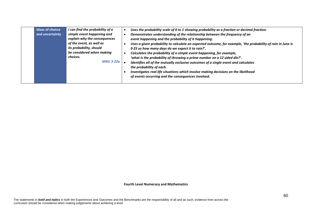| <b>Ideas of chance</b> | I can find the probability of a | Uses the probability scale of 0 to 1 showing probability as a fraction or decimal fraction.                 |
|------------------------|---------------------------------|-------------------------------------------------------------------------------------------------------------|
| and uncertainty        | simple event happening and      | Demonstrates understanding of the relationship between the frequency of an                                  |
|                        | explain why the consequences    | event happening and the probability of it happening.                                                        |
|                        | of the event, as well as        | Uses a given probability to calculate an expected outcome, for example, 'the probability of rain in June is |
|                        | its probability, should         | 0.25 so how many days do we expect it to rain?'.                                                            |
|                        | be considered when making       | Calculates the probability of a simple event happening, for example,                                        |
|                        | choices.                        | 'what is the probability of throwing a prime number on a 12 sided die?'.                                    |
|                        | <b>MNU 3-22a</b>                | Identifies all of the mutually exclusive outcomes of a single event and calculates                          |
|                        |                                 | the probability of each.                                                                                    |
|                        |                                 | Investigates real-life situations which involve making decisions on the likelihood                          |
|                        |                                 | of events occurring and the consequences involved.                                                          |
|                        |                                 |                                                                                                             |

**Fourth Level Numeracy and Mathematics**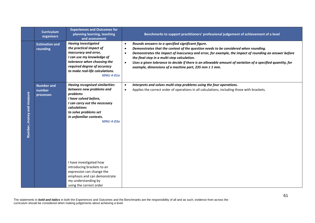|                           | <b>Curriculum</b><br>organisers          | <b>Experiences and Outcomes for</b><br>planning learning, teaching<br>and assessment                                                                                                                                                                                                                                                                                                                    | Benchmarks to support practitioners' professional judgement of achievement of a level                                                                                                                                                                                                                                                                                                                                                                                                                                       |
|---------------------------|------------------------------------------|---------------------------------------------------------------------------------------------------------------------------------------------------------------------------------------------------------------------------------------------------------------------------------------------------------------------------------------------------------------------------------------------------------|-----------------------------------------------------------------------------------------------------------------------------------------------------------------------------------------------------------------------------------------------------------------------------------------------------------------------------------------------------------------------------------------------------------------------------------------------------------------------------------------------------------------------------|
|                           | <b>Estimation and</b><br>rounding        | <b>Having investigated</b><br>the practical impact of<br>inaccuracy and error,<br>I can use my knowledge of<br>tolerance when choosing the<br>required degree of accuracy<br>to make real-life calculations.<br><b>MNU 4-01a</b>                                                                                                                                                                        | Rounds answers to a specified significant figure.<br>$\bullet$<br>Demonstrates that the context of the question needs to be considered when rounding.<br>$\bullet$<br>Demonstrates the impact of inaccuracy and error, for example, the impact of rounding an answer before<br>$\bullet$<br>the final step in a multi-step calculation.<br>Uses a given tolerance to decide if there is an allowable amount of variation of a specified quantity, for<br>$\bullet$<br>example, dimensions of a machine part, 235 mm ± 1 mm. |
| Number, money and measure | <b>Number and</b><br>number<br>processes | <b>Having recognised similarities</b><br>between new problems and<br>problems<br>I have solved before,<br>I can carry out the necessary<br>calculations<br>to solve problems set<br>in unfamiliar contexts.<br><b>MNU 4-03a</b><br>I have investigated how<br>introducing brackets to an<br>expression can change the<br>emphasis and can demonstrate<br>my understanding by<br>using the correct order | Interprets and solves multi-step problems using the four operations.<br>$\bullet$<br>Applies the correct order of operations in all calculations, including those with brackets.<br>$\bullet$                                                                                                                                                                                                                                                                                                                               |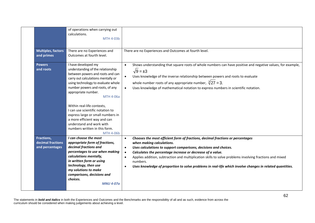|                                                    | of operations when carrying out<br>calculations.<br><b>MTH 4-03b</b>                                                                                                                                                                                                                                                                                                                                                                                                    |                                                                                                                                                                                                                                                                                                                                                                                                                                                                                                                                                   |
|----------------------------------------------------|-------------------------------------------------------------------------------------------------------------------------------------------------------------------------------------------------------------------------------------------------------------------------------------------------------------------------------------------------------------------------------------------------------------------------------------------------------------------------|---------------------------------------------------------------------------------------------------------------------------------------------------------------------------------------------------------------------------------------------------------------------------------------------------------------------------------------------------------------------------------------------------------------------------------------------------------------------------------------------------------------------------------------------------|
| <b>Multiples, factors</b><br>and primes            | There are no Experiences and<br>Outcomes at fourth level.                                                                                                                                                                                                                                                                                                                                                                                                               | There are no Experiences and Outcomes at fourth level.                                                                                                                                                                                                                                                                                                                                                                                                                                                                                            |
| <b>Powers</b><br>and roots                         | I have developed my<br>understanding of the relationship<br>between powers and roots and can<br>carry out calculations mentally or<br>using technology to evaluate whole<br>number powers and roots, of any<br>appropriate number.<br>MTH 4-06a<br>Within real-life contexts,<br>I can use scientific notation to<br>express large or small numbers in<br>a more efficient way and can<br>understand and work with<br>numbers written in this form.<br><b>MTH 4-06b</b> | Shows understanding that square roots of whole numbers can have positive and negative values, for example,<br>$\bullet$<br>$\sqrt{9} = \pm 3$<br>Uses knowledge of the inverse relationship between powers and roots to evaluate<br>whole number roots of any appropriate number, $\sqrt[3]{27} = 3$ .<br>Uses knowledge of mathematical notation to express numbers in scientific notation.                                                                                                                                                      |
| Fractions,<br>decimal fractions<br>and percentages | I can choose the most<br>appropriate form of fractions,<br>decimal fractions and<br>percentages to use when making<br>calculations mentally,<br>in written form or using<br>technology, then use<br>my solutions to make<br>comparisons, decisions and<br>choices.<br><b>MNU 4-07a</b>                                                                                                                                                                                  | Chooses the most efficient form of fractions, decimal fractions or percentages<br>$\bullet$<br>when making calculations.<br>Uses calculations to support comparisons, decisions and choices.<br>$\bullet$<br>Calculates the percentage increase or decrease of a value.<br>$\bullet$<br>Applies addition, subtraction and multiplication skills to solve problems involving fractions and mixed<br>$\bullet$<br>numbers.<br>Uses knowledge of proportion to solve problems in real-life which involve changes in related quantities.<br>$\bullet$ |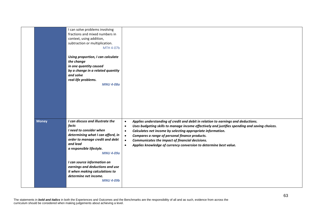|              | I can solve problems involving<br>fractions and mixed numbers in<br>context, using addition,<br>subtraction or multiplication.<br><b>MTH 4-07b</b><br>Using proportion, I can calculate<br>the change<br>in one quantity caused<br>by a change in a related quantity<br>and solve<br>real-life problems.<br><b>MNU 4-08a</b>                              |                                                                                                                                                                                                                                                                                                                                                                                                                                                                                                           |
|--------------|-----------------------------------------------------------------------------------------------------------------------------------------------------------------------------------------------------------------------------------------------------------------------------------------------------------------------------------------------------------|-----------------------------------------------------------------------------------------------------------------------------------------------------------------------------------------------------------------------------------------------------------------------------------------------------------------------------------------------------------------------------------------------------------------------------------------------------------------------------------------------------------|
| <b>Money</b> | I can discuss and illustrate the<br>facts<br>I need to consider when<br>determining what I can afford, in<br>order to manage credit and debt<br>and lead<br>a responsible lifestyle.<br><b>MNU 4-09a</b><br>I can source information on<br>earnings and deductions and use<br>it when making calculations to<br>determine net income.<br><b>MNU 4-09b</b> | Applies understanding of credit and debit in relation to earnings and deductions.<br>$\bullet$<br>Uses budgeting skills to manage income effectively and justifies spending and saving choices.<br>$\bullet$<br>Calculates net income by selecting appropriate information.<br>$\bullet$<br>Compares a range of personal finance products.<br>$\bullet$<br>Communicates the impact of financial decisions.<br>$\bullet$<br>Applies knowledge of currency conversion to determine best value.<br>$\bullet$ |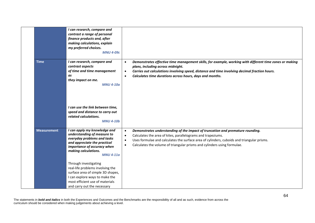|                    | I can research, compare and<br>contrast a range of personal<br>finance products and, after<br>making calculations, explain<br>my preferred choices.<br><b>MNU 4-09c</b>                                                                                                                                                                                                                                     |                                                                                                                                                                                                                                                                                                                                                                              |
|--------------------|-------------------------------------------------------------------------------------------------------------------------------------------------------------------------------------------------------------------------------------------------------------------------------------------------------------------------------------------------------------------------------------------------------------|------------------------------------------------------------------------------------------------------------------------------------------------------------------------------------------------------------------------------------------------------------------------------------------------------------------------------------------------------------------------------|
| <b>Time</b>        | I can research, compare and<br>contrast aspects<br>of time and time management<br>as<br>they impact on me.<br><b>MNU 4-10a</b><br>I can use the link between time,<br>speed and distance to carry out<br>related calculations.<br><b>MNU 4-10b</b>                                                                                                                                                          | Demonstrates effective time management skills, for example, working with different time zones or making<br>$\bullet$<br>plans, including across midnight.<br>Carries out calculations involving speed, distance and time involving decimal fraction hours.<br>$\bullet$<br>Calculates time durations across hours, days and months.<br>$\bullet$                             |
| <b>Measurement</b> | I can apply my knowledge and<br>understanding of measure to<br>everyday problems and tasks<br>and appreciate the practical<br>importance of accuracy when<br>making calculations.<br><b>MNU 4-11a</b><br>Through investigating<br>real-life problems involving the<br>surface area of simple 3D shapes,<br>I can explore ways to make the<br>most efficient use of materials<br>and carry out the necessary | Demonstrates understanding of the impact of truncation and premature rounding.<br>$\bullet$<br>Calculates the area of kites, parallelograms and trapeziums.<br>$\bullet$<br>Uses formulae and calculates the surface area of cylinders, cuboids and triangular prisms.<br>$\bullet$<br>Calculates the volume of triangular prisms and cylinders using formulae.<br>$\bullet$ |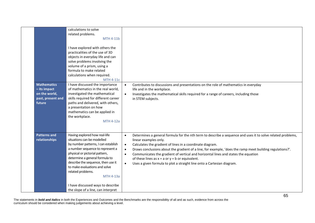| <b>Mathematics</b><br>- its impact<br>on the world,<br>past, present and<br>future | related problems.<br><b>MTH 4-11b</b><br>I have explored with others the<br>practicalities of the use of 3D<br>objects in everyday life and can<br>solve problems involving the<br>volume of a prism, using a<br>formula to make related<br>calculations when required.<br><b>MTH 4-11c</b><br>I have discussed the importance<br>of mathematics in the real world,<br>investigated the mathematical<br>skills required for different career<br>paths and delivered, with others,<br>a presentation on how<br>mathematics can be applied in<br>the workplace.<br><b>MTH 4-12a</b> | Contributes to discussions and presentations on the role of mathematics in everyday<br>$\bullet$<br>life and in the workplace.<br>Investigates the mathematical skills required for a range of careers, including those<br>$\bullet$<br>in STEM subjects.                                                                                                                                                                                                                                                                                                                                             |
|------------------------------------------------------------------------------------|-----------------------------------------------------------------------------------------------------------------------------------------------------------------------------------------------------------------------------------------------------------------------------------------------------------------------------------------------------------------------------------------------------------------------------------------------------------------------------------------------------------------------------------------------------------------------------------|-------------------------------------------------------------------------------------------------------------------------------------------------------------------------------------------------------------------------------------------------------------------------------------------------------------------------------------------------------------------------------------------------------------------------------------------------------------------------------------------------------------------------------------------------------------------------------------------------------|
| <b>Patterns and</b><br>relationships                                               | Having explored how real-life<br>situations can be modelled<br>by number patterns, I can establish<br>a number sequence to represent a<br>physical or pictorial pattern,<br>determine a general formula to<br>describe the sequence, then use it<br>to make evaluations and solve<br>related problems.<br><b>MTH 4-13a</b><br>I have discussed ways to describe<br>the slope of a line, can interpret                                                                                                                                                                             | Determines a general formula for the nth term to describe a sequence and uses it to solve related problems,<br>$\bullet$<br>linear examples only.<br>Calculates the gradient of lines in a coordinate diagram.<br>$\bullet$<br>Draws conclusions about the gradient of a line, for example, 'does the ramp meet building regulations?'.<br>$\bullet$<br>Communicates the gradient of vertical and horizontal lines and states the equation<br>$\bullet$<br>of these lines as $x = a$ or $y = b$ or equivalent.<br>Uses a given formula to plot a straight line onto a Cartesian diagram.<br>$\bullet$ |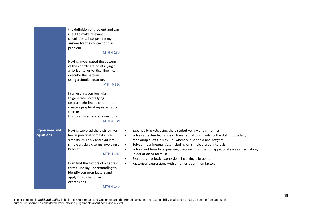|                        | the definition of gradient and can                                                                                                                               |                                                                                                |
|------------------------|------------------------------------------------------------------------------------------------------------------------------------------------------------------|------------------------------------------------------------------------------------------------|
|                        | use it to make relevant                                                                                                                                          |                                                                                                |
|                        | calculations, interpreting my                                                                                                                                    |                                                                                                |
|                        | answer for the context of the                                                                                                                                    |                                                                                                |
|                        | problem.                                                                                                                                                         |                                                                                                |
|                        | MTH 4-13b                                                                                                                                                        |                                                                                                |
|                        | Having investigated the pattern<br>of the coordinate points lying on<br>a horizontal or vertical line, I can<br>describe the pattern<br>using a simple equation. |                                                                                                |
|                        | <b>MTH 4-13c</b>                                                                                                                                                 |                                                                                                |
|                        | I can use a given formula                                                                                                                                        |                                                                                                |
|                        | to generate points lying                                                                                                                                         |                                                                                                |
|                        | on a straight line, plot them to                                                                                                                                 |                                                                                                |
|                        | create a graphical representation                                                                                                                                |                                                                                                |
|                        | then use                                                                                                                                                         |                                                                                                |
|                        | this to answer related questions.                                                                                                                                |                                                                                                |
|                        | MTH 4-13d                                                                                                                                                        |                                                                                                |
| <b>Expressions and</b> | Having explored the distributive                                                                                                                                 | Expands brackets using the distributive law and simplifies.<br>$\bullet$                       |
| equations              | law in practical contexts, I can                                                                                                                                 | Solves an extended range of linear equations involving the distributive law,<br>$\bullet$      |
|                        | simplify, multiply and evaluate                                                                                                                                  | for example, $ax \pm b = cx \pm d$ , where a, b, c and d are integers.                         |
|                        | simple algebraic terms involving a                                                                                                                               | Solves linear inequalities, including on simple closed intervals.<br>$\bullet$                 |
|                        | bracket.                                                                                                                                                         | Solves problems by expressing the given information appropriately as an equation,<br>$\bullet$ |
|                        | <b>MTH 4-14a</b>                                                                                                                                                 | in-equation or formula.                                                                        |
|                        |                                                                                                                                                                  | Evaluates algebraic expressions involving a bracket.<br>$\bullet$                              |
|                        | I can find the factors of algebraic                                                                                                                              | Factorises expressions with a numeric common factor.<br>$\bullet$                              |
|                        | terms, use my understanding to                                                                                                                                   |                                                                                                |
|                        | identify common factors and                                                                                                                                      |                                                                                                |
|                        | apply this to factorise                                                                                                                                          |                                                                                                |
|                        | expressions.                                                                                                                                                     |                                                                                                |
|                        | MTH 4-14b                                                                                                                                                        |                                                                                                |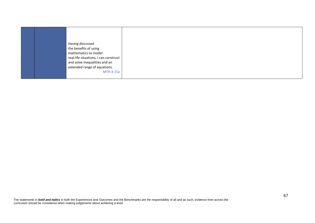| MTH 4-15a |
|-----------|
|-----------|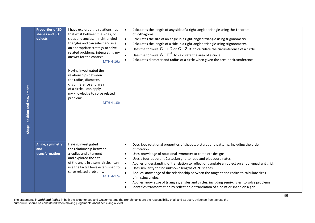| <b>Properties of 2D</b><br>shapes and 3D<br>objects<br>Shape, position and movement | I have explored the relationships<br>that exist between the sides, or<br>sides and angles, in right-angled<br>triangles and can select and use<br>an appropriate strategy to solve<br>related problems, interpreting my<br>answer for the context.<br>MTH 4-16a<br>Having investigated the<br>relationships between<br>the radius, diameter,<br>circumference and area<br>of a circle, I can apply<br>my knowledge to solve related<br>problems.<br><b>MTH 4-16b</b> | Calculates the length of any side of a right-angled triangle using the Theorem<br>$\bullet$<br>of Pythagoras.<br>Calculates the size of an angle in a right-angled triangle using trigonometry.<br>$\bullet$<br>Calculates the length of a side in a right-angled triangle using trigonometry.<br>$\bullet$<br>Uses the formula $C = \pi D$ or $C = 2\pi r$ to calculate the circumference of a circle.<br>$\bullet$<br>Uses the formula $A = \pi r^2$ to calculate the area of a circle.<br>Calculates diameter and radius of a circle when given the area or circumference.                                                                                                                         |  |
|-------------------------------------------------------------------------------------|----------------------------------------------------------------------------------------------------------------------------------------------------------------------------------------------------------------------------------------------------------------------------------------------------------------------------------------------------------------------------------------------------------------------------------------------------------------------|-------------------------------------------------------------------------------------------------------------------------------------------------------------------------------------------------------------------------------------------------------------------------------------------------------------------------------------------------------------------------------------------------------------------------------------------------------------------------------------------------------------------------------------------------------------------------------------------------------------------------------------------------------------------------------------------------------|--|
| Angle, symmetry<br>and<br>transformation                                            | Having investigated<br>the relationship between<br>a radius and a tangent<br>and explored the size<br>of the angle in a semi-circle, I can<br>use the facts I have established to<br>solve related problems.<br><b>MTH 4-17a</b>                                                                                                                                                                                                                                     | Describes rotational properties of shapes, pictures and patterns, including the order<br>$\bullet$<br>of rotation.<br>Uses knowledge of rotational symmetry to complete designs.<br>$\bullet$<br>Uses a four-quadrant Cartesian grid to read and plot coordinates.<br>$\bullet$<br>Applies understanding of translation to reflect or translate an object on a four-quadrant grid.<br>$\bullet$<br>Uses similarity to find unknown lengths of 2D shapes.<br>Applies knowledge of the relationship between the tangent and radius to calculate sizes<br>$\bullet$<br>of missing angles.<br>Applies knowledge of triangles, angles and circles, including semi-circles, to solve problems.<br>$\bullet$ |  |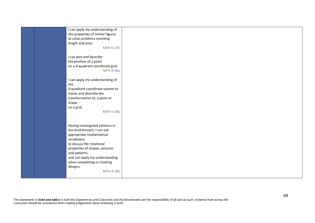| I can apply my understanding of   |  |
|-----------------------------------|--|
| the properties of similar figures |  |
| to solve problems involving       |  |
|                                   |  |
| length and area.                  |  |
| MTH 4-17b                         |  |
|                                   |  |
|                                   |  |
| I can plot and describe           |  |
| the position of a point           |  |
| on a 4-quadrant coordinate grid.  |  |
| <b>MTH 4-18a</b>                  |  |
|                                   |  |
|                                   |  |
| I can apply my understanding of   |  |
| the                               |  |
| 4-quadrant coordinate system to   |  |
| move, and describe the            |  |
|                                   |  |
| transformation of, a point or     |  |
| shape                             |  |
| on a grid.                        |  |
| <b>MTH 4-18b</b>                  |  |
|                                   |  |
|                                   |  |
|                                   |  |
| Having investigated patterns in   |  |
| the environment, I can use        |  |
| appropriate mathematical          |  |
| vocabulary                        |  |
| to discuss the rotational         |  |
|                                   |  |
| properties of shapes, pictures    |  |
| and patterns                      |  |
| and can apply my understanding    |  |
| when completing or creating       |  |
|                                   |  |
| designs.                          |  |
| MTH 4-19a                         |  |
|                                   |  |